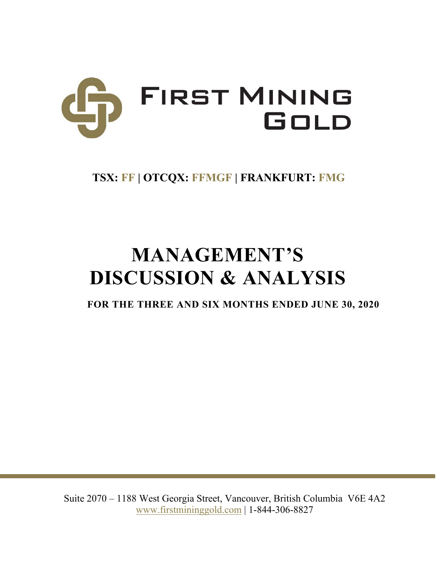

# **TSX: FF | OTCQX: FFMGF | FRANKFURT: FMG**

# **MANAGEMENT'S DISCUSSION & ANALYSIS**

**FOR THE THREE AND SIX MONTHS ENDED JUNE 30, 2020**

Suite 2070 – 1188 West Georgia Street, Vancouver, British Columbia V6E 4A2 www.firstmininggold.com | 1-844-306-8827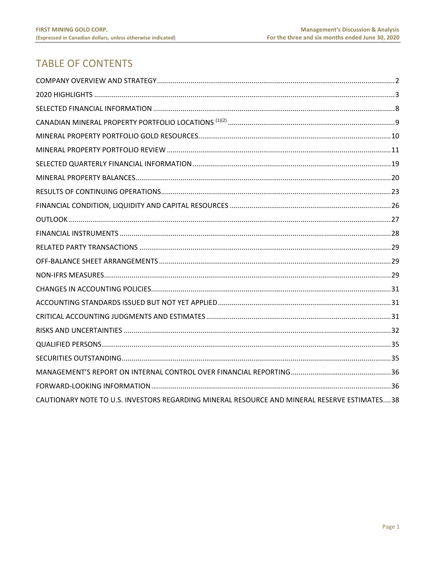# **TABLE OF CONTENTS**

| CAUTIONARY NOTE TO U.S. INVESTORS REGARDING MINERAL RESOURCE AND MINERAL RESERVE ESTIMATES38 |  |
|----------------------------------------------------------------------------------------------|--|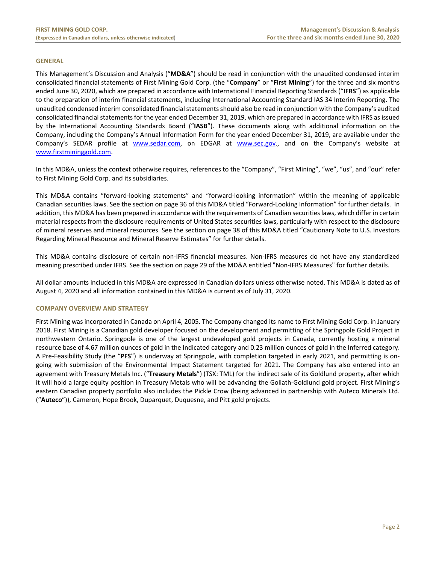#### **GENERAL**

This Management's Discussion and Analysis ("**MD&A**") should be read in conjunction with the unaudited condensed interim consolidated financial statements of First Mining Gold Corp. (the "**Company**" or "**First Mining**") for the three and six months ended June 30, 2020, which are prepared in accordance with International Financial Reporting Standards ("**IFRS**") as applicable to the preparation of interim financial statements, including International Accounting Standard IAS 34 Interim Reporting. The unaudited condensed interim consolidated financial statements should also be read in conjunction with the Company's audited consolidated financial statements for the year ended December 31, 2019, which are prepared in accordance with IFRS as issued by the International Accounting Standards Board ("**IASB**"). These documents along with additional information on the Company, including the Company's Annual Information Form for the year ended December 31, 2019, are available under the Company's SEDAR profile at www.sedar.com, on EDGAR at www.sec.gov., and on the Company's website at www.firstmininggold.com.

In this MD&A, unless the context otherwise requires, references to the "Company", "First Mining", "we", "us", and "our" refer to First Mining Gold Corp. and its subsidiaries.

This MD&A contains "forward‐looking statements" and "forward‐looking information" within the meaning of applicable Canadian securities laws. See the section on page 36 of this MD&A titled "Forward‐Looking Information" for further details. In addition, this MD&A has been prepared in accordance with the requirements of Canadian securities laws, which differ in certain material respects from the disclosure requirements of United States securities laws, particularly with respect to the disclosure of mineral reserves and mineral resources. See the section on page 38 of this MD&A titled "Cautionary Note to U.S. Investors Regarding Mineral Resource and Mineral Reserve Estimates" for further details.

This MD&A contains disclosure of certain non‐IFRS financial measures. Non‐IFRS measures do not have any standardized meaning prescribed under IFRS. See the section on page 29 of the MD&A entitled "Non‐IFRS Measures" for further details.

All dollar amounts included in this MD&A are expressed in Canadian dollars unless otherwise noted. This MD&A is dated as of August 4, 2020 and all information contained in this MD&A is current as of July 31, 2020.

#### **COMPANY OVERVIEW AND STRATEGY**

First Mining was incorporated in Canada on April 4, 2005. The Company changed its name to First Mining Gold Corp. in January 2018. First Mining is a Canadian gold developer focused on the development and permitting of the Springpole Gold Project in northwestern Ontario. Springpole is one of the largest undeveloped gold projects in Canada, currently hosting a mineral resource base of 4.67 million ounces of gold in the Indicated category and 0.23 million ounces of gold in the Inferred category. A Pre‐Feasibility Study (the "**PFS**") is underway at Springpole, with completion targeted in early 2021, and permitting is on‐ going with submission of the Environmental Impact Statement targeted for 2021. The Company has also entered into an agreement with Treasury Metals Inc. ("**Treasury Metals**") (TSX: TML) for the indirect sale of its Goldlund property, after which it will hold a large equity position in Treasury Metals who will be advancing the Goliath‐Goldlund gold project. First Mining's eastern Canadian property portfolio also includes the Pickle Crow (being advanced in partnership with Auteco Minerals Ltd. ("**Auteco**")), Cameron, Hope Brook, Duparquet, Duquesne, and Pitt gold projects.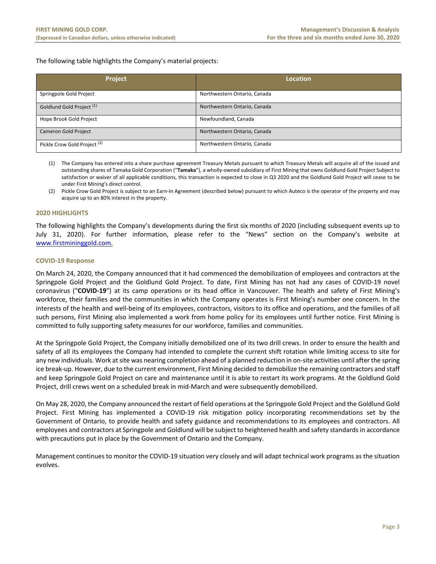The following table highlights the Company's material projects:

| Project                                 | <b>Location</b>              |
|-----------------------------------------|------------------------------|
| Springpole Gold Project                 | Northwestern Ontario, Canada |
| Goldlund Gold Project <sup>(1)</sup>    | Northwestern Ontario, Canada |
| Hope Brook Gold Project                 | Newfoundland, Canada         |
| <b>Cameron Gold Project</b>             | Northwestern Ontario, Canada |
| Pickle Crow Gold Project <sup>(2)</sup> | Northwestern Ontario, Canada |

(1) The Company has entered into a share purchase agreement Treasury Metals pursuant to which Treasury Metals will acquire all of the issued and outstanding shares of Tamaka Gold Corporation ("**Tamaka**"), a wholly‐owned subsidiary of First Mining that owns Goldlund Gold Project Subject to satisfaction or waiver of all applicable conditions, this transaction is expected to close in Q3 2020 and the Goldlund Gold Project will cease to be under First Mining's direct control.

(2) Pickle Crow Gold Project is subject to an Earn‐In Agreement (described below) pursuant to which Auteco is the operator of the property and may acquire up to an 80% interest in the property.

# **2020 HIGHLIGHTS**

The following highlights the Company's developments during the first six months of 2020 (including subsequent events up to July 31, 2020). For further information, please refer to the "News" section on the Company's website at www.firstmininggold.com.

#### **COVID‐19 Response**

On March 24, 2020, the Company announced that it had commenced the demobilization of employees and contractors at the Springpole Gold Project and the Goldlund Gold Project. To date, First Mining has not had any cases of COVID-19 novel coronavirus ("**COVID‐19**") at its camp operations or its head office in Vancouver. The health and safety of First Mining's workforce, their families and the communities in which the Company operates is First Mining's number one concern. In the interests of the health and well‐being of its employees, contractors, visitors to its office and operations, and the families of all such persons, First Mining also implemented a work from home policy for its employees until further notice. First Mining is committed to fully supporting safety measures for our workforce, families and communities.

At the Springpole Gold Project, the Company initially demobilized one of its two drill crews. In order to ensure the health and safety of all its employees the Company had intended to complete the current shift rotation while limiting access to site for any new individuals. Work at site was nearing completion ahead of a planned reduction in on‐site activities until after the spring ice break‐up. However, due to the current environment, First Mining decided to demobilize the remaining contractors and staff and keep Springpole Gold Project on care and maintenance until it is able to restart its work programs. At the Goldlund Gold Project, drill crews went on a scheduled break in mid‐March and were subsequently demobilized.

On May 28, 2020, the Company announced the restart of field operations at the Springpole Gold Project and the Goldlund Gold Project. First Mining has implemented a COVID‐19 risk mitigation policy incorporating recommendations set by the Government of Ontario, to provide health and safety guidance and recommendations to its employees and contractors. All employees and contractors at Springpole and Goldlund will be subject to heightened health and safety standards in accordance with precautions put in place by the Government of Ontario and the Company.

Management continues to monitor the COVID‐19 situation very closely and will adapt technical work programs as the situation evolves.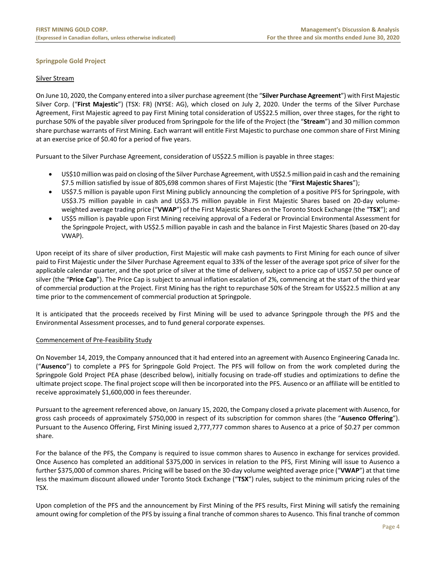# **Springpole Gold Project**

## Silver Stream

On June 10, 2020, the Company entered into a silver purchase agreement (the "**Silver Purchase Agreement**") with First Majestic Silver Corp. ("**First Majestic**") (TSX: FR) (NYSE: AG), which closed on July 2, 2020. Under the terms of the Silver Purchase Agreement, First Majestic agreed to pay First Mining total consideration of US\$22.5 million, over three stages, for the right to purchase 50% of the payable silver produced from Springpole for the life of the Project (the "**Stream**") and 30 million common share purchase warrants of First Mining. Each warrant will entitle First Majestic to purchase one common share of First Mining at an exercise price of \$0.40 for a period of five years.

Pursuant to the Silver Purchase Agreement, consideration of US\$22.5 million is payable in three stages:

- US\$10 million was paid on closing of the Silver Purchase Agreement, with US\$2.5 million paid in cash and the remaining \$7.5 million satisfied by issue of 805,698 common shares of First Majestic (the "**First Majestic Shares**");
- US\$7.5 million is payable upon First Mining publicly announcing the completion of a positive PFS for Springpole, with US\$3.75 million payable in cash and US\$3.75 million payable in First Majestic Shares based on 20‐day volume‐ weighted average trading price ("**VWAP**") of the First Majestic Shares on the Toronto Stock Exchange (the "**TSX**"); and
- US\$5 million is payable upon First Mining receiving approval of a Federal or Provincial Environmental Assessment for the Springpole Project, with US\$2.5 million payable in cash and the balance in First Majestic Shares (based on 20‐day VWAP).

Upon receipt of its share of silver production, First Majestic will make cash payments to First Mining for each ounce of silver paid to First Majestic under the Silver Purchase Agreement equal to 33% of the lesser of the average spot price of silver for the applicable calendar quarter, and the spot price of silver at the time of delivery, subject to a price cap of US\$7.50 per ounce of silver (the "**Price Cap**"). The Price Cap is subject to annual inflation escalation of 2%, commencing at the start of the third year of commercial production at the Project. First Mining has the right to repurchase 50% of the Stream for US\$22.5 million at any time prior to the commencement of commercial production at Springpole.

It is anticipated that the proceeds received by First Mining will be used to advance Springpole through the PFS and the Environmental Assessment processes, and to fund general corporate expenses.

#### Commencement of Pre‐Feasibility Study

On November 14, 2019, the Company announced that it had entered into an agreement with Ausenco Engineering Canada Inc. ("**Ausenco**") to complete a PFS for Springpole Gold Project. The PFS will follow on from the work completed during the Springpole Gold Project PEA phase (described below), initially focusing on trade‐off studies and optimizations to define the ultimate project scope. The final project scope will then be incorporated into the PFS. Ausenco or an affiliate will be entitled to receive approximately \$1,600,000 in fees thereunder.

Pursuant to the agreement referenced above, on January 15, 2020, the Company closed a private placement with Ausenco, for gross cash proceeds of approximately \$750,000 in respect of its subscription for common shares (the "**Ausenco Offering**"). Pursuant to the Ausenco Offering, First Mining issued 2,777,777 common shares to Ausenco at a price of \$0.27 per common share.

For the balance of the PFS, the Company is required to issue common shares to Ausenco in exchange for services provided. Once Ausenco has completed an additional \$375,000 in services in relation to the PFS, First Mining will issue to Ausenco a further \$375,000 of common shares. Pricing will be based on the 30‐day volume weighted average price ("**VWAP**") at that time less the maximum discount allowed under Toronto Stock Exchange ("**TSX**") rules, subject to the minimum pricing rules of the TSX.

Upon completion of the PFS and the announcement by First Mining of the PFS results, First Mining will satisfy the remaining amount owing for completion of the PFS by issuing a final tranche of common shares to Ausenco. This final tranche of common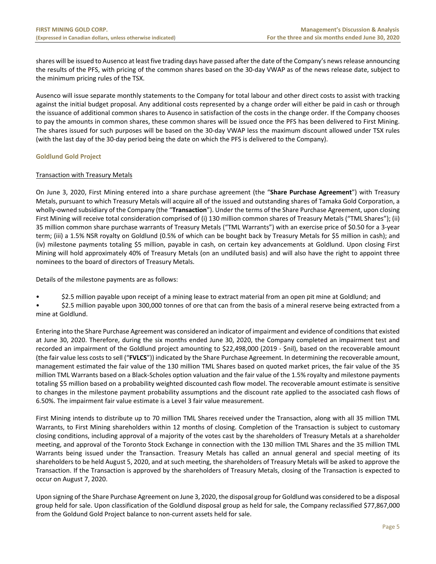shares will be issued to Ausenco at least five trading days have passed after the date of the Company's news release announcing the results of the PFS, with pricing of the common shares based on the 30‐day VWAP as of the news release date, subject to the minimum pricing rules of the TSX.

Ausenco will issue separate monthly statements to the Company for total labour and other direct costs to assist with tracking against the initial budget proposal. Any additional costs represented by a change order will either be paid in cash or through the issuance of additional common shares to Ausenco in satisfaction of the costs in the change order. If the Company chooses to pay the amounts in common shares, these common shares will be issued once the PFS has been delivered to First Mining. The shares issued for such purposes will be based on the 30‐day VWAP less the maximum discount allowed under TSX rules (with the last day of the 30‐day period being the date on which the PFS is delivered to the Company).

# **Goldlund Gold Project**

# Transaction with Treasury Metals

On June 3, 2020, First Mining entered into a share purchase agreement (the "**Share Purchase Agreement**") with Treasury Metals, pursuant to which Treasury Metals will acquire all of the issued and outstanding shares of Tamaka Gold Corporation, a wholly‐owned subsidiary of the Company (the "**Transaction**"). Under the terms of the Share Purchase Agreement, upon closing First Mining will receive total consideration comprised of (i) 130 million common shares of Treasury Metals ("TML Shares"); (ii) 35 million common share purchase warrants of Treasury Metals ("TML Warrants") with an exercise price of \$0.50 for a 3‐year term; (iii) a 1.5% NSR royalty on Goldlund (0.5% of which can be bought back by Treasury Metals for \$5 million in cash); and (iv) milestone payments totaling \$5 million, payable in cash, on certain key advancements at Goldlund. Upon closing First Mining will hold approximately 40% of Treasury Metals (on an undiluted basis) and will also have the right to appoint three nominees to the board of directors of Treasury Metals.

Details of the milestone payments are as follows:

- \$2.5 million payable upon receipt of a mining lease to extract material from an open pit mine at Goldlund; and
- \$2.5 million payable upon 300,000 tonnes of ore that can from the basis of a mineral reserve being extracted from a mine at Goldlund.

Entering into the Share Purchase Agreement was considered an indicator of impairment and evidence of conditions that existed at June 30, 2020. Therefore, during the six months ended June 30, 2020, the Company completed an impairment test and recorded an impairment of the Goldlund project amounting to \$22,498,000 (2019 ‐ \$nil), based on the recoverable amount (the fair value less costs to sell ("**FVLCS**")) indicated by the Share Purchase Agreement. In determining the recoverable amount, management estimated the fair value of the 130 million TML Shares based on quoted market prices, the fair value of the 35 million TML Warrants based on a Black‐Scholes option valuation and the fair value of the 1.5% royalty and milestone payments totaling \$5 million based on a probability weighted discounted cash flow model. The recoverable amount estimate is sensitive to changes in the milestone payment probability assumptions and the discount rate applied to the associated cash flows of 6.50%. The impairment fair value estimate is a Level 3 fair value measurement.

First Mining intends to distribute up to 70 million TML Shares received under the Transaction, along with all 35 million TML Warrants, to First Mining shareholders within 12 months of closing. Completion of the Transaction is subject to customary closing conditions, including approval of a majority of the votes cast by the shareholders of Treasury Metals at a shareholder meeting, and approval of the Toronto Stock Exchange in connection with the 130 million TML Shares and the 35 million TML Warrants being issued under the Transaction. Treasury Metals has called an annual general and special meeting of its shareholders to be held August 5, 2020, and at such meeting, the shareholders of Treasury Metals will be asked to approve the Transaction. If the Transaction is approved by the shareholders of Treasury Metals, closing of the Transaction is expected to occur on August 7, 2020.

Upon signing of the Share Purchase Agreement on June 3, 2020, the disposal group for Goldlund was considered to be a disposal group held for sale. Upon classification of the Goldlund disposal group as held for sale, the Company reclassified \$77,867,000 from the Goldund Gold Project balance to non‐current assets held for sale.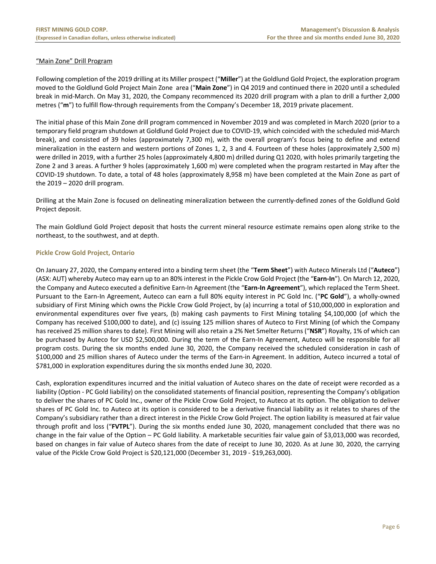# "Main Zone" Drill Program

Following completion of the 2019 drilling at its Miller prospect ("**Miller**") at the Goldlund Gold Project, the exploration program moved to the Goldlund Gold Project Main Zone area ("**Main Zone**") in Q4 2019 and continued there in 2020 until a scheduled break in mid‐March. On May 31, 2020, the Company recommenced its 2020 drill program with a plan to drill a further 2,000 metres ("m") to fulfill flow-through requirements from the Company's December 18, 2019 private placement.

The initial phase of this Main Zone drill program commenced in November 2019 and was completed in March 2020 (prior to a temporary field program shutdown at Goldlund Gold Project due to COVID‐19, which coincided with the scheduled mid‐March break), and consisted of 39 holes (approximately 7,300 m), with the overall program's focus being to define and extend mineralization in the eastern and western portions of Zones 1, 2, 3 and 4. Fourteen of these holes (approximately 2,500 m) were drilled in 2019, with a further 25 holes (approximately 4,800 m) drilled during Q1 2020, with holes primarily targeting the Zone 2 and 3 areas. A further 9 holes (approximately 1,600 m) were completed when the program restarted in May after the COVID‐19 shutdown. To date, a total of 48 holes (approximately 8,958 m) have been completed at the Main Zone as part of the  $2019 - 2020$  drill program.

Drilling at the Main Zone is focused on delineating mineralization between the currently‐defined zones of the Goldlund Gold Project deposit.

The main Goldlund Gold Project deposit that hosts the current mineral resource estimate remains open along strike to the northeast, to the southwest, and at depth.

# **Pickle Crow Gold Project, Ontario**

On January 27, 2020, the Company entered into a binding term sheet (the "**Term Sheet**") with Auteco Minerals Ltd ("**Auteco**") (ASX: AUT) whereby Auteco may earn up to an 80% interest in the Pickle Crow Gold Project (the "**Earn‐In**"). On March 12, 2020, the Company and Auteco executed a definitive Earn‐In Agreement (the "**Earn‐In Agreement**"), which replaced the Term Sheet. Pursuant to the Earn‐In Agreement, Auteco can earn a full 80% equity interest in PC Gold Inc. ("**PC Gold**"), a wholly‐owned subsidiary of First Mining which owns the Pickle Crow Gold Project, by (a) incurring a total of \$10,000,000 in exploration and environmental expenditures over five years, (b) making cash payments to First Mining totaling \$4,100,000 (of which the Company has received \$100,000 to date), and (c) issuing 125 million shares of Auteco to First Mining (of which the Company has received 25 million shares to date). First Mining will also retain a 2% Net Smelter Returns ("**NSR**") Royalty, 1% of which can be purchased by Auteco for USD \$2,500,000. During the term of the Earn-In Agreement, Auteco will be responsible for all program costs. During the six months ended June 30, 2020, the Company received the scheduled consideration in cash of \$100,000 and 25 million shares of Auteco under the terms of the Earn-in Agreement. In addition, Auteco incurred a total of \$781,000 in exploration expenditures during the six months ended June 30, 2020.

Cash, exploration expenditures incurred and the initial valuation of Auteco shares on the date of receipt were recorded as a liability (Option ‐ PC Gold liability) on the consolidated statements of financial position, representing the Company's obligation to deliver the shares of PC Gold Inc., owner of the Pickle Crow Gold Project, to Auteco at its option. The obligation to deliver shares of PC Gold Inc. to Auteco at its option is considered to be a derivative financial liability as it relates to shares of the Company's subsidiary rather than a direct interest in the Pickle Crow Gold Project. The option liability is measured at fair value through profit and loss ("**FVTPL**"). During the six months ended June 30, 2020, management concluded that there was no change in the fair value of the Option – PC Gold liability. A marketable securities fair value gain of \$3,013,000 was recorded, based on changes in fair value of Auteco shares from the date of receipt to June 30, 2020. As at June 30, 2020, the carrying value of the Pickle Crow Gold Project is \$20,121,000 (December 31, 2019 ‐ \$19,263,000).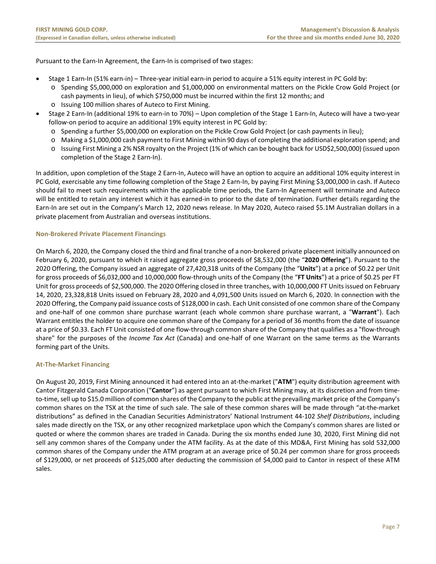Pursuant to the Earn-In Agreement, the Earn-In is comprised of two stages:

- Stage 1 Earn-In (51% earn-in) Three-year initial earn-in period to acquire a 51% equity interest in PC Gold by:
	- o Spending \$5,000,000 on exploration and \$1,000,000 on environmental matters on the Pickle Crow Gold Project (or cash payments in lieu), of which \$750,000 must be incurred within the first 12 months; and
	- o Issuing 100 million shares of Auteco to First Mining.
- Stage 2 Earn-In (additional 19% to earn-in to 70%) Upon completion of the Stage 1 Earn-In, Auteco will have a two-year follow-on period to acquire an additional 19% equity interest in PC Gold by:
	- o Spending a further \$5,000,000 on exploration on the Pickle Crow Gold Project (or cash payments in lieu);
	- o Making a \$1,000,000 cash payment to First Mining within 90 days of completing the additional exploration spend; and
	- o Issuing First Mining a 2% NSR royalty on the Project (1% of which can be bought back for USD\$2,500,000) (issued upon completion of the Stage 2 Earn‐In).

In addition, upon completion of the Stage 2 Earn-In, Auteco will have an option to acquire an additional 10% equity interest in PC Gold, exercisable any time following completion of the Stage 2 Earn‐In, by paying First Mining \$3,000,000 in cash. If Auteco should fail to meet such requirements within the applicable time periods, the Earn-In Agreement will terminate and Auteco will be entitled to retain any interest which it has earned-in to prior to the date of termination. Further details regarding the Earn-In are set out in the Company's March 12, 2020 news release. In May 2020, Auteco raised \$5.1M Australian dollars in a private placement from Australian and overseas institutions.

# **Non‐Brokered Private Placement Financings**

On March 6, 2020, the Company closed the third and final tranche of a non‐brokered private placement initially announced on February 6, 2020, pursuant to which it raised aggregate gross proceeds of \$8,532,000 (the "**2020 Offering**"). Pursuant to the 2020 Offering, the Company issued an aggregate of 27,420,318 units of the Company (the "**Units**") at a price of \$0.22 per Unit for gross proceeds of \$6,032,000 and 10,000,000 flow‐through units of the Company (the "**FT Units**") at a price of \$0.25 per FT Unit for gross proceeds of \$2,500,000. The 2020 Offering closed in three tranches, with 10,000,000 FT Units issued on February 14, 2020, 23,328,818 Units issued on February 28, 2020 and 4,091,500 Units issued on March 6, 2020. In connection with the 2020 Offering, the Company paid issuance costs of \$128,000 in cash. Each Unit consisted of one common share of the Company and one‐half of one common share purchase warrant (each whole common share purchase warrant, a "**Warrant**"). Each Warrant entitles the holder to acquire one common share of the Company for a period of 36 months from the date of issuance at a price of \$0.33. Each FT Unit consisted of one flow-through common share of the Company that qualifies as a "flow-through share" for the purposes of the *Income Tax Act* (Canada) and one-half of one Warrant on the same terms as the Warrants forming part of the Units.

# **At‐The‐Market Financing**

On August 20, 2019, First Mining announced it had entered into an at‐the‐market ("**ATM**") equity distribution agreement with Cantor Fitzgerald Canada Corporation ("**Cantor**") as agent pursuant to which First Mining may, at its discretion and from time‐ to-time, sell up to \$15.0 million of common shares of the Company to the public at the prevailing market price of the Company's common shares on the TSX at the time of such sale. The sale of these common shares will be made through "at-the-market distributions" as defined in the Canadian Securities Administrators' National Instrument 44‐102 *Shelf Distributions*, including sales made directly on the TSX, or any other recognized marketplace upon which the Company's common shares are listed or quoted or where the common shares are traded in Canada. During the six months ended June 30, 2020, First Mining did not sell any common shares of the Company under the ATM facility. As at the date of this MD&A, First Mining has sold 532,000 common shares of the Company under the ATM program at an average price of \$0.24 per common share for gross proceeds of \$129,000, or net proceeds of \$125,000 after deducting the commission of \$4,000 paid to Cantor in respect of these ATM sales.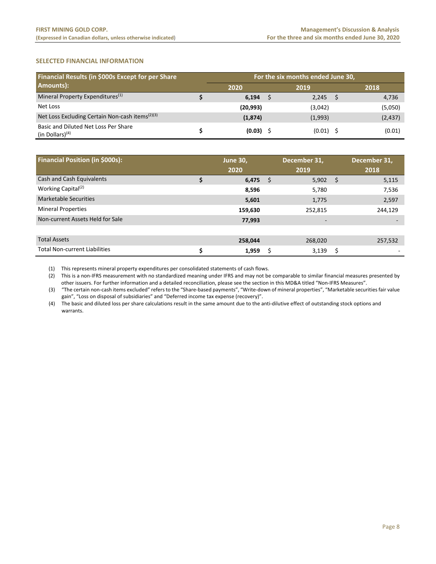# **SELECTED FINANCIAL INFORMATION**

| Financial Results (in \$000s Except for per Share          | For the six months ended June 30, |  |             |      |          |  |  |  |  |  |  |
|------------------------------------------------------------|-----------------------------------|--|-------------|------|----------|--|--|--|--|--|--|
| Amounts):                                                  | 2020                              |  | 2019        | 2018 |          |  |  |  |  |  |  |
| Mineral Property Expenditures <sup>(1)</sup>               | 6,194                             |  | 2,245       |      | 4,736    |  |  |  |  |  |  |
| Net Loss                                                   | (20, 993)                         |  | (3,042)     |      | (5,050)  |  |  |  |  |  |  |
| Net Loss Excluding Certain Non-cash items $(2)(3)$         | (1,874)                           |  | (1,993)     |      | (2, 437) |  |  |  |  |  |  |
| Basic and Diluted Net Loss Per Share<br>(in Dollars) $(4)$ | (0.03)                            |  | $(0.01)$ \$ |      | (0.01)   |  |  |  |  |  |  |

| <b>Financial Position (in \$000s):</b> |   | <b>June 30,</b><br>2020 |    | December 31,<br>2019 |      | December 31,<br>2018 |
|----------------------------------------|---|-------------------------|----|----------------------|------|----------------------|
| Cash and Cash Equivalents              |   | 6,475                   | \$ | 5,902                | - \$ | 5,115                |
| Working Capital <sup>(2)</sup>         |   | 8,596                   |    | 5,780                |      | 7,536                |
| <b>Marketable Securities</b>           |   | 5,601                   |    | 1,775                |      | 2,597                |
| <b>Mineral Properties</b>              |   | 159,630                 |    | 252,815              |      | 244,129              |
| Non-current Assets Held for Sale       |   | 77,993                  |    |                      |      |                      |
|                                        |   |                         |    |                      |      |                      |
| <b>Total Assets</b>                    |   | 258,044                 |    | 268,020              |      | 257,532              |
| <b>Total Non-current Liabilities</b>   | Ś | 1,959                   | Ś  | 3,139                | \$   |                      |

(1) This represents mineral property expenditures per consolidated statements of cash flows.

(2) This is a non‐IFRS measurement with no standardized meaning under IFRS and may not be comparable to similar financial measures presented by other issuers. For further information and a detailed reconciliation, please see the section in this MD&A titled "Non‐IFRS Measures".

(3) "The certain non‐cash items excluded" refers to the "Share‐based payments", "Write‐down of mineral properties", "Marketable securities fair value gain", "Loss on disposal of subsidiaries" and "Deferred income tax expense (recovery)".

(4) The basic and diluted loss per share calculations result in the same amount due to the anti‐dilutive effect of outstanding stock options and warrants.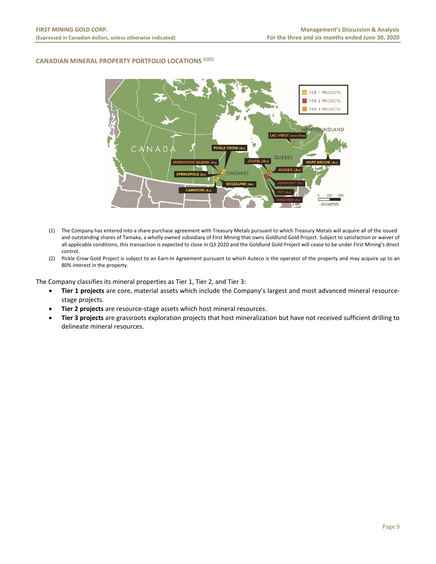## **CANADIAN MINERAL PROPERTY PORTFOLIO LOCATIONS (1)(2)**



- (1) The Company has entered into a share purchase agreement with Treasury Metals pursuant to which Treasury Metals will acquire all of the issued and outstanding shares of Tamaka, a wholly-owned subsidiary of First Mining that owns Goldlund Gold Project. Subject to satisfaction or waiver of all applicable conditions, this transaction is expected to close in Q3 2020 and the Goldlund Gold Project will cease to be under First Mining's direct control.
- (2) Pickle Crow Gold Project is subject to an Earn‐In Agreement pursuant to which Auteco is the operator of the property and may acquire up to an 80% interest in the property.

The Company classifies its mineral properties as Tier 1, Tier 2, and Tier 3:

- **Tier 1 projects** are core, material assets which include the Company's largest and most advanced mineral resource‐ stage projects.
- **Tier 2 projects** are resource‐stage assets which host mineral resources.
- **Tier 3 projects** are grassroots exploration projects that host mineralization but have not received sufficient drilling to delineate mineral resources.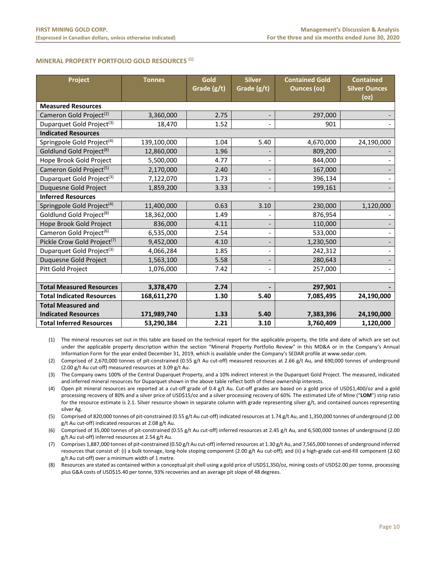#### **MINERAL PROPERTY PORTFOLIO GOLD RESOURCES (1)**

| Project                                 | <b>Tonnes</b> | Gold<br>Grade (g/t) | <b>Silver</b><br>Grade (g/t) | <b>Contained Gold</b><br><b>Ounces (oz)</b> | <b>Contained</b><br><b>Silver Ounces</b> |
|-----------------------------------------|---------------|---------------------|------------------------------|---------------------------------------------|------------------------------------------|
|                                         |               |                     |                              |                                             | (oz)                                     |
| <b>Measured Resources</b>               |               |                     |                              |                                             |                                          |
| Cameron Gold Project <sup>(2)</sup>     | 3,360,000     | 2.75                |                              | 297,000                                     |                                          |
| Duparquet Gold Project <sup>(3)</sup>   | 18,470        | 1.52                |                              | 901                                         |                                          |
| <b>Indicated Resources</b>              |               |                     |                              |                                             |                                          |
| Springpole Gold Project <sup>(4)</sup>  | 139,100,000   | 1.04                | 5.40                         | 4,670,000                                   | 24,190,000                               |
| Goldlund Gold Project <sup>(8)</sup>    | 12,860,000    | 1.96                |                              | 809,200                                     |                                          |
| Hope Brook Gold Project                 | 5,500,000     | 4.77                |                              | 844,000                                     |                                          |
| Cameron Gold Project <sup>(5)</sup>     | 2,170,000     | 2.40                |                              | 167,000                                     |                                          |
| Duparquet Gold Project <sup>(3)</sup>   | 7,122,070     | 1.73                |                              | 396,134                                     |                                          |
| Duquesne Gold Project                   | 1,859,200     | 3.33                |                              | 199,161                                     |                                          |
| <b>Inferred Resources</b>               |               |                     |                              |                                             |                                          |
| Springpole Gold Project <sup>(4)</sup>  | 11,400,000    | 0.63                | 3.10                         | 230,000                                     | 1,120,000                                |
| Goldlund Gold Project <sup>(8)</sup>    | 18,362,000    | 1.49                |                              | 876,954                                     |                                          |
| Hope Brook Gold Project                 | 836,000       | 4.11                |                              | 110,000                                     |                                          |
| Cameron Gold Project <sup>(6)</sup>     | 6,535,000     | 2.54                |                              | 533,000                                     |                                          |
| Pickle Crow Gold Project <sup>(7)</sup> | 9,452,000     | 4.10                |                              | 1,230,500                                   |                                          |
| Duparquet Gold Project <sup>(3)</sup>   | 4,066,284     | 1.85                |                              | 242,312                                     |                                          |
| Duquesne Gold Project                   | 1,563,100     | 5.58                |                              | 280,643                                     |                                          |
| Pitt Gold Project                       | 1,076,000     | 7.42                |                              | 257,000                                     |                                          |
|                                         |               |                     |                              |                                             |                                          |
| <b>Total Measured Resources</b>         | 3,378,470     | 2.74                |                              | 297,901                                     |                                          |
| <b>Total Indicated Resources</b>        | 168,611,270   | 1.30                | 5.40                         | 7,085,495                                   | 24,190,000                               |
| <b>Total Measured and</b>               |               |                     |                              |                                             |                                          |
| <b>Indicated Resources</b>              | 171,989,740   | 1.33                | 5.40                         | 7,383,396                                   | 24,190,000                               |
| <b>Total Inferred Resources</b>         | 53,290,384    | 2.21                | 3.10                         | 3,760,409                                   | 1,120,000                                |

(1) The mineral resources set out in this table are based on the technical report for the applicable property, the title and date of which are set out under the applicable property description within the section "Mineral Property Portfolio Review" in this MD&A or in the Company's Annual Information Form for the year ended December 31, 2019, which is available under the Company's SEDAR profile at www.sedar.com.

(2) Comprised of 2,670,000 tonnes of pit‐constrained (0.55 g/t Au cut‐off) measured resources at 2.66 g/t Au, and 690,000 tonnes of underground (2.00 g/t Au cut‐off) measured resources at 3.09 g/t Au.

(3) The Company owns 100% of the Central Duparquet Property, and a 10% indirect interest in the Duparquet Gold Project. The measured, indicated and inferred mineral resources for Duparquet shown in the above table reflect both of these ownership interests.

(4) Open pit mineral resources are reported at a cut‐off grade of 0.4 g/t Au. Cut‐off grades are based on a gold price of USD\$1,400/oz and a gold processing recovery of 80% and a silver price of USD\$15/oz and a silver processing recovery of 60%. The estimated Life of Mine ("**LOM**") strip ratio for the resource estimate is 2.1. Silver resource shown in separate column with grade representing silver g/t, and contained ounces representing silver Ag.

(5) Comprised of 820,000 tonnes of pit‐constrained (0.55 g/t Au cut‐off) indicated resources at 1.74 g/t Au, and 1,350,000 tonnes of underground (2.00 g/t Au cut-off) indicated resources at 2.08 g/t Au.

(6) Comprised of 35,000 tonnes of pit‐constrained (0.55 g/t Au cut‐off) inferred resources at 2.45 g/t Au, and 6,500,000 tonnes of underground (2.00 g/t Au cut‐off) inferred resources at 2.54 g/t Au.

(7) Comprises 1,887,000 tonnes of pit‐constrained (0.50 g/t Au cut‐off) inferred resources at 1.30 g/t Au, and 7,565,000 tonnes of underground inferred resources that consist of: (i) a bulk tonnage, long‐hole stoping component (2.00 g/t Au cut‐off); and (ii) a high‐grade cut‐and‐fill component (2.60 g/t Au cut‐off) over a minimum width of 1 metre.

(8) Resources are stated as contained within a conceptual pit shell using a gold price of USD\$1,350/oz, mining costs of USD\$2.00 per tonne, processing plus G&A costs of USD\$15.40 per tonne, 93% recoveries and an average pit slope of 48 degrees.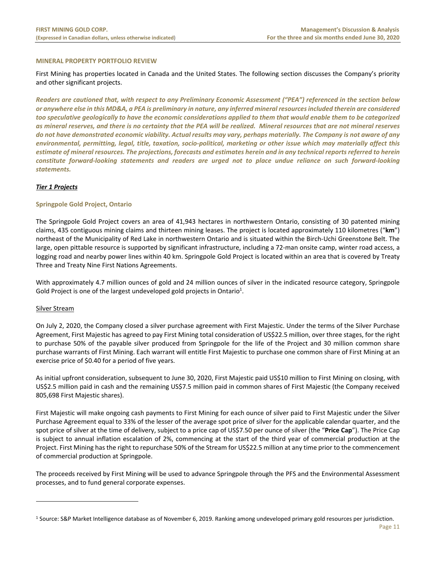## **MINERAL PROPERTY PORTFOLIO REVIEW**

First Mining has properties located in Canada and the United States. The following section discusses the Company's priority and other significant projects.

*Readers are cautioned that, with respect to any Preliminary Economic Assessment ("PEA") referenced in the section below or anywhere else in this MD&A, a PEA is preliminary in nature, any inferred mineral resources included therein are considered too speculative geologically to have the economic considerations applied to them that would enable them to be categorized as mineral reserves, and there is no certainty that the PEA will be realized. Mineral resources that are not mineral reserves do not have demonstrated economic viability. Actual results may vary, perhaps materially. The Company is not aware of any environmental, permitting, legal, title, taxation, socio‐political, marketing or other issue which may materially affect this estimate of mineral resources. The projections, forecasts and estimates herein and in any technical reports referred to herein constitute forward‐looking statements and readers are urged not to place undue reliance on such forward‐looking statements.*

# *Tier 1 Projects*

# **Springpole Gold Project, Ontario**

The Springpole Gold Project covers an area of 41,943 hectares in northwestern Ontario, consisting of 30 patented mining claims, 435 contiguous mining claims and thirteen mining leases. The project is located approximately 110 kilometres ("**km**") northeast of the Municipality of Red Lake in northwestern Ontario and is situated within the Birch‐Uchi Greenstone Belt. The large, open pittable resource is supported by significant infrastructure, including a 72‐man onsite camp, winter road access, a logging road and nearby power lines within 40 km. Springpole Gold Project is located within an area that is covered by Treaty Three and Treaty Nine First Nations Agreements.

With approximately 4.7 million ounces of gold and 24 million ounces of silver in the indicated resource category, Springpole Gold Project is one of the largest undeveloped gold projects in Ontario<sup>1</sup>.

#### Silver Stream

On July 2, 2020, the Company closed a silver purchase agreement with First Majestic. Under the terms of the Silver Purchase Agreement, First Majestic has agreed to pay First Mining total consideration of US\$22.5 million, over three stages, for the right to purchase 50% of the payable silver produced from Springpole for the life of the Project and 30 million common share purchase warrants of First Mining. Each warrant will entitle First Majestic to purchase one common share of First Mining at an exercise price of \$0.40 for a period of five years.

As initial upfront consideration, subsequent to June 30, 2020, First Majestic paid US\$10 million to First Mining on closing, with US\$2.5 million paid in cash and the remaining US\$7.5 million paid in common shares of First Majestic (the Company received 805,698 First Majestic shares).

First Majestic will make ongoing cash payments to First Mining for each ounce of silver paid to First Majestic under the Silver Purchase Agreement equal to 33% of the lesser of the average spot price of silver for the applicable calendar quarter, and the spot price of silver at the time of delivery, subject to a price cap of US\$7.50 per ounce of silver (the "**Price Cap**"). The Price Cap is subject to annual inflation escalation of 2%, commencing at the start of the third year of commercial production at the Project. First Mining has the right to repurchase 50% of the Stream for US\$22.5 million at any time prior to the commencement of commercial production at Springpole.

The proceeds received by First Mining will be used to advance Springpole through the PFS and the Environmental Assessment processes, and to fund general corporate expenses.

<sup>1</sup> Source: S&P Market Intelligence database as of November 6, 2019. Ranking among undeveloped primary gold resources per jurisdiction.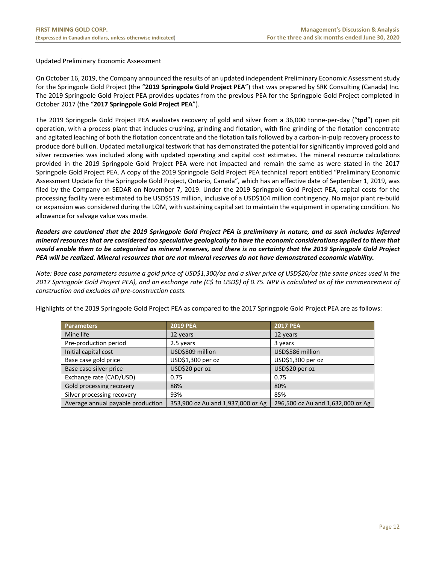# Updated Preliminary Economic Assessment

On October 16, 2019, the Company announced the results of an updated independent Preliminary Economic Assessment study for the Springpole Gold Project (the "**2019 Springpole Gold Project PEA**") that was prepared by SRK Consulting (Canada) Inc. The 2019 Springpole Gold Project PEA provides updates from the previous PEA for the Springpole Gold Project completed in October 2017 (the "**2017 Springpole Gold Project PEA**").

The 2019 Springpole Gold Project PEA evaluates recovery of gold and silver from a 36,000 tonne-per-day ("**tpd**") open pit operation, with a process plant that includes crushing, grinding and flotation, with fine grinding of the flotation concentrate and agitated leaching of both the flotation concentrate and the flotation tails followed by a carbon-in-pulp recovery process to produce doré bullion. Updated metallurgical testwork that has demonstrated the potential for significantly improved gold and silver recoveries was included along with updated operating and capital cost estimates. The mineral resource calculations provided in the 2019 Springpole Gold Project PEA were not impacted and remain the same as were stated in the 2017 Springpole Gold Project PEA. A copy of the 2019 Springpole Gold Project PEA technical report entitled "Preliminary Economic Assessment Update for the Springpole Gold Project, Ontario, Canada", which has an effective date of September 1, 2019, was filed by the Company on SEDAR on November 7, 2019. Under the 2019 Springpole Gold Project PEA, capital costs for the processing facility were estimated to be USD\$519 million, inclusive of a USD\$104 million contingency. No major plant re‐build or expansion was considered during the LOM, with sustaining capital set to maintain the equipment in operating condition. No allowance for salvage value was made.

*Readers are cautioned that the 2019 Springpole Gold Project PEA is preliminary in nature, and as such includes inferred mineral resources that are considered too speculative geologically to have the economic considerations applied to them that would enable them to be categorized as mineral reserves, and there is no certainty that the 2019 Springpole Gold Project PEA will be realized. Mineral resources that are not mineral reserves do not have demonstrated economic viability.*

*Note: Base case parameters assume a gold price of USD\$1,300/oz and a silver price of USD\$20/oz (the same prices used in the 2017 Springpole Gold Project PEA), and an exchange rate (C\$ to USD\$) of 0.75. NPV is calculated as of the commencement of construction and excludes all pre‐construction costs.* 

Highlights of the 2019 Springpole Gold Project PEA as compared to the 2017 Springpole Gold Project PEA are as follows:

| <b>Parameters</b>                 | <b>2019 PEA</b>                   | <b>2017 PEA</b>                   |
|-----------------------------------|-----------------------------------|-----------------------------------|
| Mine life                         | 12 years                          | 12 years                          |
| Pre-production period             | 2.5 years                         | 3 years                           |
| Initial capital cost              | USD\$809 million                  | USD\$586 million                  |
| Base case gold price              | USD\$1,300 per oz                 | USD\$1,300 per oz                 |
| Base case silver price            | USD\$20 per oz                    | USD\$20 per oz                    |
| Exchange rate (CAD/USD)           | 0.75                              | 0.75                              |
| Gold processing recovery          | 88%                               | 80%                               |
| Silver processing recovery        | 93%                               | 85%                               |
| Average annual payable production | 353,900 oz Au and 1,937,000 oz Ag | 296,500 oz Au and 1,632,000 oz Ag |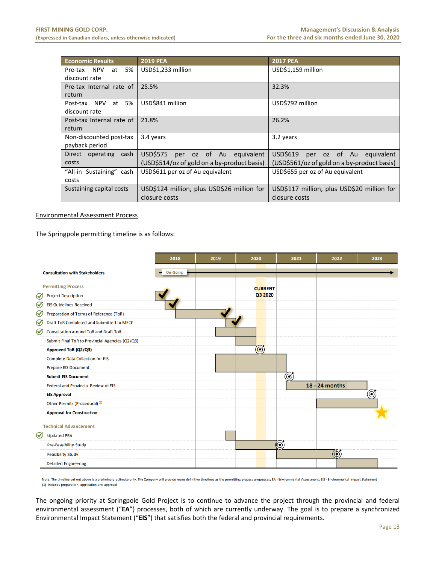| <b>Economic Results</b>    | <b>2019 PEA</b>                             | <b>2017 PEA</b>                             |  |  |  |  |  |  |  |
|----------------------------|---------------------------------------------|---------------------------------------------|--|--|--|--|--|--|--|
| 5% l<br>Pre-tax NPV<br>at  | USD\$1,233 million                          | USD\$1,159 million                          |  |  |  |  |  |  |  |
| discount rate              |                                             |                                             |  |  |  |  |  |  |  |
| Pre-tax Internal rate of I | 25.5%                                       | 32.3%                                       |  |  |  |  |  |  |  |
| return                     |                                             |                                             |  |  |  |  |  |  |  |
| 5%<br>Post-tax NPV<br>at   | USD\$841 million                            | USD\$792 million                            |  |  |  |  |  |  |  |
| discount rate              |                                             |                                             |  |  |  |  |  |  |  |
| Post-tax Internal rate of  | 21.8%                                       | 26.2%                                       |  |  |  |  |  |  |  |
| return                     |                                             |                                             |  |  |  |  |  |  |  |
| Non-discounted post-tax    | 3.4 years                                   | 3.2 years                                   |  |  |  |  |  |  |  |
| payback period             |                                             |                                             |  |  |  |  |  |  |  |
| Direct operating cash      | USDS575<br>per oz of Au equivalent          | USD\$619<br>per oz of Au equivalent         |  |  |  |  |  |  |  |
| costs                      | (USD\$514/oz of gold on a by-product basis) | (USD\$561/oz of gold on a by-product basis) |  |  |  |  |  |  |  |
| "All-in Sustaining" cash   | USD\$611 per oz of Au equivalent            | USD\$655 per oz of Au equivalent            |  |  |  |  |  |  |  |
| costs                      |                                             |                                             |  |  |  |  |  |  |  |
| Sustaining capital costs   | USD\$124 million, plus USD\$26 million for  | USD\$117 million, plus USD\$20 million for  |  |  |  |  |  |  |  |
|                            | closure costs                               | closure costs                               |  |  |  |  |  |  |  |

# Environmental Assessment Process

The Springpole permitting timeline is as follows:



Note: The timeline set out above is a preliminary estimate only. The Company will provide more definitive timelines as the permitting process progresses; EA - Environmental Assessment; EIS - Environmental Impact Statement (1) Includes preparation, application and approval

The ongoing priority at Springpole Gold Project is to continue to advance the project through the provincial and federal environmental assessment ("EA") processes, both of which are currently underway. The goal is to prepare a synchronized Environmental Impact Statement ("**EIS**") that satisfies both the federal and provincial requirements.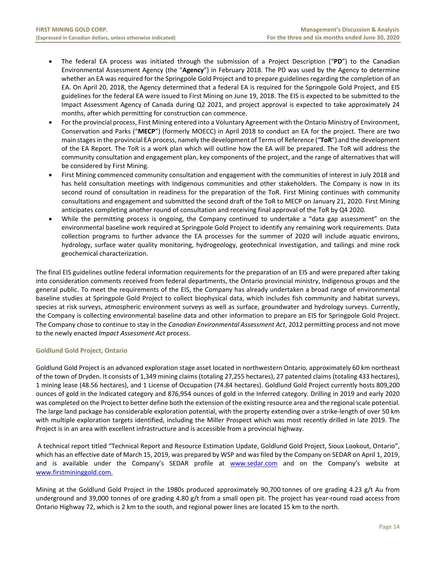- The federal EA process was initiated through the submission of a Project Description ("**PD**") to the Canadian Environmental Assessment Agency (the "**Agency**") in February 2018. The PD was used by the Agency to determine whether an EA was required for the Springpole Gold Project and to prepare guidelines regarding the completion of an EA. On April 20, 2018, the Agency determined that a federal EA is required for the Springpole Gold Project, and EIS guidelines for the federal EA were issued to First Mining on June 19, 2018. The EIS is expected to be submitted to the Impact Assessment Agency of Canada during Q2 2021, and project approval is expected to take approximately 24 months, after which permitting for construction can commence.
- For the provincial process, First Mining entered into a Voluntary Agreement with the Ontario Ministry of Environment, Conservation and Parks ("**MECP**") (formerly MOECC) in April 2018 to conduct an EA for the project. There are two main stages in the provincial EA process, namely the development of Terms of Reference ("**ToR**") and the development of the EA Report. The ToR is a work plan which will outline how the EA will be prepared. The ToR will address the community consultation and engagement plan, key components of the project, and the range of alternatives that will be considered by First Mining.
- First Mining commenced community consultation and engagement with the communities of interest in July 2018 and has held consultation meetings with Indigenous communities and other stakeholders. The Company is now in its second round of consultation in readiness for the preparation of the ToR. First Mining continues with community consultations and engagement and submitted the second draft of the ToR to MECP on January 21, 2020. First Mining anticipates completing another round of consultation and receiving final approval of the ToR by Q4 2020.
- While the permitting process is ongoing, the Company continued to undertake a "data gap assessment" on the environmental baseline work required at Springpole Gold Project to identify any remaining work requirements. Data collection programs to further advance the EA processes for the summer of 2020 will include aquatic environs, hydrology, surface water quality monitoring, hydrogeology, geotechnical investigation, and tailings and mine rock geochemical characterization.

The final EIS guidelines outline federal information requirements for the preparation of an EIS and were prepared after taking into consideration comments received from federal departments, the Ontario provincial ministry, Indigenous groups and the general public. To meet the requirements of the EIS, the Company has already undertaken a broad range of environmental baseline studies at Springpole Gold Project to collect biophysical data, which includes fish community and habitat surveys, species at risk surveys, atmospheric environment surveys as well as surface, groundwater and hydrology surveys. Currently, the Company is collecting environmental baseline data and other information to prepare an EIS for Springpole Gold Project. The Company chose to continue to stay in the *Canadian Environmental Assessment Act*, 2012 permitting process and not move to the newly enacted *Impact Assessment Act* process.

# **Goldlund Gold Project, Ontario**

Goldlund Gold Project is an advanced exploration stage asset located in northwestern Ontario, approximately 60 km northeast of the town of Dryden. It consists of 1,349 mining claims (totaling 27,255 hectares), 27 patented claims (totaling 433 hectares), 1 mining lease (48.56 hectares), and 1 License of Occupation (74.84 hectares). Goldlund Gold Project currently hosts 809,200 ounces of gold in the Indicated category and 876,954 ounces of gold in the Inferred category. Drilling in 2019 and early 2020 was completed on the Project to better define both the extension of the existing resource area and the regional scale potential. The large land package has considerable exploration potential, with the property extending over a strike‐length of over 50 km with multiple exploration targets identified, including the Miller Prospect which was most recently drilled in late 2019. The Project is in an area with excellent infrastructure and is accessible from a provincial highway.

 A technical report titled "Technical Report and Resource Estimation Update, Goldlund Gold Project, Sioux Lookout, Ontario", which has an effective date of March 15, 2019, was prepared by WSP and was filed by the Company on SEDAR on April 1, 2019, and is available under the Company's SEDAR profile at www.sedar.com and on the Company's website at www.firstmininggold.com.

Mining at the Goldlund Gold Project in the 1980s produced approximately 90,700 tonnes of ore grading 4.23 g/t Au from underground and 39,000 tonnes of ore grading 4.80 g/t from a small open pit. The project has year-round road access from Ontario Highway 72, which is 2 km to the south, and regional power lines are located 15 km to the north.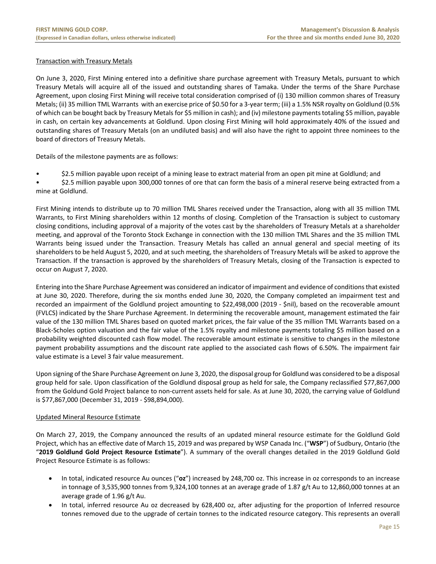# Transaction with Treasury Metals

On June 3, 2020, First Mining entered into a definitive share purchase agreement with Treasury Metals, pursuant to which Treasury Metals will acquire all of the issued and outstanding shares of Tamaka. Under the terms of the Share Purchase Agreement, upon closing First Mining will receive total consideration comprised of (i) 130 million common shares of Treasury Metals; (ii) 35 million TML Warrants with an exercise price of \$0.50 for a 3‐year term; (iii) a 1.5% NSR royalty on Goldlund (0.5% of which can be bought back by Treasury Metals for \$5 million in cash); and (iv) milestone payments totaling \$5 million, payable in cash, on certain key advancements at Goldlund. Upon closing First Mining will hold approximately 40% of the issued and outstanding shares of Treasury Metals (on an undiluted basis) and will also have the right to appoint three nominees to the board of directors of Treasury Metals.

Details of the milestone payments are as follows:

• \$2.5 million payable upon receipt of a mining lease to extract material from an open pit mine at Goldlund; and

• \$2.5 million payable upon 300,000 tonnes of ore that can form the basis of a mineral reserve being extracted from a mine at Goldlund.

First Mining intends to distribute up to 70 million TML Shares received under the Transaction, along with all 35 million TML Warrants, to First Mining shareholders within 12 months of closing. Completion of the Transaction is subject to customary closing conditions, including approval of a majority of the votes cast by the shareholders of Treasury Metals at a shareholder meeting, and approval of the Toronto Stock Exchange in connection with the 130 million TML Shares and the 35 million TML Warrants being issued under the Transaction. Treasury Metals has called an annual general and special meeting of its shareholders to be held August 5, 2020, and at such meeting, the shareholders of Treasury Metals will be asked to approve the Transaction. If the transaction is approved by the shareholders of Treasury Metals, closing of the Transaction is expected to occur on August 7, 2020.

Entering into the Share Purchase Agreement was considered an indicator of impairment and evidence of conditions that existed at June 30, 2020. Therefore, during the six months ended June 30, 2020, the Company completed an impairment test and recorded an impairment of the Goldlund project amounting to \$22,498,000 (2019 ‐ \$nil), based on the recoverable amount (FVLCS) indicated by the Share Purchase Agreement. In determining the recoverable amount, management estimated the fair value of the 130 million TML Shares based on quoted market prices, the fair value of the 35 million TML Warrants based on a Black‐Scholes option valuation and the fair value of the 1.5% royalty and milestone payments totaling \$5 million based on a probability weighted discounted cash flow model. The recoverable amount estimate is sensitive to changes in the milestone payment probability assumptions and the discount rate applied to the associated cash flows of 6.50%. The impairment fair value estimate is a Level 3 fair value measurement.

Upon signing of the Share Purchase Agreement on June 3, 2020, the disposal group for Goldlund was considered to be a disposal group held for sale. Upon classification of the Goldlund disposal group as held for sale, the Company reclassified \$77,867,000 from the Goldund Gold Project balance to non-current assets held for sale. As at June 30, 2020, the carrying value of Goldlund is \$77,867,000 (December 31, 2019 ‐ \$98,894,000).

#### Updated Mineral Resource Estimate

On March 27, 2019, the Company announced the results of an updated mineral resource estimate for the Goldlund Gold Project, which has an effective date of March 15, 2019 and was prepared by WSP Canada Inc. ("**WSP**") of Sudbury, Ontario (the "**2019 Goldlund Gold Project Resource Estimate**"). A summary of the overall changes detailed in the 2019 Goldlund Gold Project Resource Estimate is as follows:

- In total, indicated resource Au ounces ("**oz**") increased by 248,700 oz. This increase in oz corresponds to an increase in tonnage of 3,535,900 tonnes from 9,324,100 tonnes at an average grade of 1.87 g/t Au to 12,860,000 tonnes at an average grade of 1.96 g/t Au.
- In total, inferred resource Au oz decreased by 628,400 oz, after adjusting for the proportion of Inferred resource tonnes removed due to the upgrade of certain tonnes to the indicated resource category. This represents an overall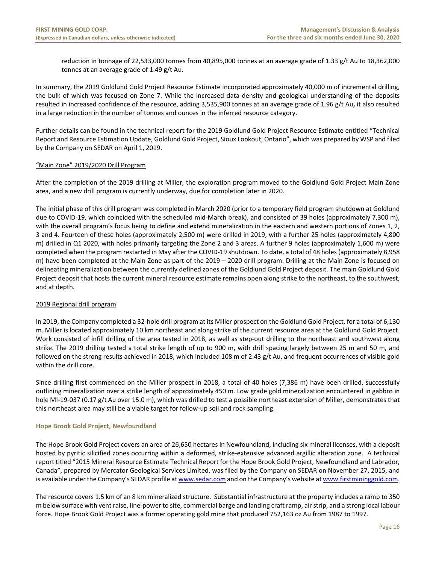reduction in tonnage of 22,533,000 tonnes from 40,895,000 tonnes at an average grade of 1.33 g/t Au to 18,362,000 tonnes at an average grade of 1.49 g/t Au.

In summary, the 2019 Goldlund Gold Project Resource Estimate incorporated approximately 40,000 m of incremental drilling, the bulk of which was focused on Zone 7. While the increased data density and geological understanding of the deposits resulted in increased confidence of the resource, adding 3,535,900 tonnes at an average grade of 1.96 g/t Au**,** it also resulted in a large reduction in the number of tonnes and ounces in the inferred resource category.

Further details can be found in the technical report for the 2019 Goldlund Gold Project Resource Estimate entitled "Technical Report and Resource Estimation Update, Goldlund Gold Project, Sioux Lookout, Ontario", which was prepared by WSP and filed by the Company on SEDAR on April 1, 2019.

# "Main Zone" 2019/2020 Drill Program

After the completion of the 2019 drilling at Miller, the exploration program moved to the Goldlund Gold Project Main Zone area, and a new drill program is currently underway, due for completion later in 2020.

The initial phase of this drill program was completed in March 2020 (prior to a temporary field program shutdown at Goldlund due to COVID-19, which coincided with the scheduled mid-March break), and consisted of 39 holes (approximately 7,300 m), with the overall program's focus being to define and extend mineralization in the eastern and western portions of Zones 1, 2, 3 and 4. Fourteen of these holes (approximately 2,500 m) were drilled in 2019, with a further 25 holes (approximately 4,800 m) drilled in Q1 2020, with holes primarily targeting the Zone 2 and 3 areas. A further 9 holes (approximately 1,600 m) were completed when the program restarted in May after the COVID‐19 shutdown. To date, a total of 48 holes (approximately 8,958 m) have been completed at the Main Zone as part of the 2019 – 2020 drill program. Drilling at the Main Zone is focused on delineating mineralization between the currently defined zones of the Goldlund Gold Project deposit. The main Goldlund Gold Project deposit that hosts the current mineral resource estimate remains open along strike to the northeast, to the southwest, and at depth.

# 2019 Regional drill program

In 2019, the Company completed a 32‐hole drill program at its Miller prospect on the Goldlund Gold Project, for a total of 6,130 m. Miller is located approximately 10 km northeast and along strike of the current resource area at the Goldlund Gold Project. Work consisted of infill drilling of the area tested in 2018, as well as step-out drilling to the northeast and southwest along strike. The 2019 drilling tested a total strike length of up to 900 m, with drill spacing largely between 25 m and 50 m, and followed on the strong results achieved in 2018, which included 108 m of 2.43 g/t Au, and frequent occurrences of visible gold within the drill core.

Since drilling first commenced on the Miller prospect in 2018, a total of 40 holes (7,386 m) have been drilled, successfully outlining mineralization over a strike length of approximately 450 m. Low grade gold mineralization encountered in gabbro in hole MI-19-037 (0.17 g/t Au over 15.0 m), which was drilled to test a possible northeast extension of Miller, demonstrates that this northeast area may still be a viable target for follow‐up soil and rock sampling.

#### **Hope Brook Gold Project, Newfoundland**

The Hope Brook Gold Project covers an area of 26,650 hectares in Newfoundland, including six mineral licenses, with a deposit hosted by pyritic silicified zones occurring within a deformed, strike‐extensive advanced argillic alteration zone. A technical report titled "2015 Mineral Resource Estimate Technical Report for the Hope Brook Gold Project, Newfoundland and Labrador, Canada", prepared by Mercator Geological Services Limited, was filed by the Company on SEDAR on November 27, 2015, and is available under the Company's SEDAR profile at www.sedar.com and on the Company's website at www.firstmininggold.com.

The resource covers 1.5 km of an 8 km mineralized structure. Substantial infrastructure at the property includes a ramp to 350 m below surface with vent raise, line‐power to site, commercial barge and landing craft ramp, air strip, and a strong local labour force. Hope Brook Gold Project was a former operating gold mine that produced 752,163 oz Au from 1987 to 1997.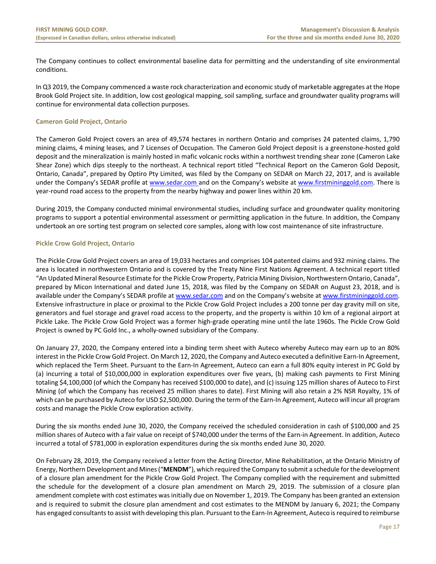The Company continues to collect environmental baseline data for permitting and the understanding of site environmental conditions.

In Q3 2019, the Company commenced a waste rock characterization and economic study of marketable aggregates at the Hope Brook Gold Project site. In addition, low cost geological mapping, soil sampling, surface and groundwater quality programs will continue for environmental data collection purposes.

## **Cameron Gold Project, Ontario**

The Cameron Gold Project covers an area of 49,574 hectares in northern Ontario and comprises 24 patented claims, 1,790 mining claims, 4 mining leases, and 7 Licenses of Occupation. The Cameron Gold Project deposit is a greenstone‐hosted gold deposit and the mineralization is mainly hosted in mafic volcanic rocks within a northwest trending shear zone (Cameron Lake Shear Zone) which dips steeply to the northeast. A technical report titled "Technical Report on the Cameron Gold Deposit, Ontario, Canada", prepared by Optiro Pty Limited, was filed by the Company on SEDAR on March 22, 2017, and is available under the Company's SEDAR profile at www.sedar.com and on the Company's website at www.firstmininggold.com. There is year-round road access to the property from the nearby highway and power lines within 20 km.

During 2019, the Company conducted minimal environmental studies, including surface and groundwater quality monitoring programs to support a potential environmental assessment or permitting application in the future. In addition, the Company undertook an ore sorting test program on selected core samples, along with low cost maintenance of site infrastructure.

# **Pickle Crow Gold Project, Ontario**

The Pickle Crow Gold Project covers an area of 19,033 hectares and comprises 104 patented claims and 932 mining claims. The area is located in northwestern Ontario and is covered by the Treaty Nine First Nations Agreement. A technical report titled "An Updated Mineral Resource Estimate for the Pickle Crow Property, Patricia Mining Division, Northwestern Ontario, Canada", prepared by Micon International and dated June 15, 2018, was filed by the Company on SEDAR on August 23, 2018, and is available under the Company's SEDAR profile at www.sedar.com and on the Company's website at www.firstmininggold.com. Extensive infrastructure in place or proximal to the Pickle Crow Gold Project includes a 200 tonne per day gravity mill on site, generators and fuel storage and gravel road access to the property, and the property is within 10 km of a regional airport at Pickle Lake. The Pickle Crow Gold Project was a former high‐grade operating mine until the late 1960s. The Pickle Crow Gold Project is owned by PC Gold Inc., a wholly‐owned subsidiary of the Company.

On January 27, 2020, the Company entered into a binding term sheet with Auteco whereby Auteco may earn up to an 80% interest in the Pickle Crow Gold Project. On March 12, 2020, the Company and Auteco executed a definitive Earn-In Agreement, which replaced the Term Sheet. Pursuant to the Earn-In Agreement, Auteco can earn a full 80% equity interest in PC Gold by (a) incurring a total of \$10,000,000 in exploration expenditures over five years, (b) making cash payments to First Mining totaling \$4,100,000 (of which the Company has received \$100,000 to date), and (c) issuing 125 million shares of Auteco to First Mining (of which the Company has received 25 million shares to date). First Mining will also retain a 2% NSR Royalty, 1% of which can be purchased by Auteco for USD \$2,500,000. During the term of the Earn-In Agreement, Auteco will incur all program costs and manage the Pickle Crow exploration activity.

During the six months ended June 30, 2020, the Company received the scheduled consideration in cash of \$100,000 and 25 million shares of Auteco with a fair value on receipt of \$740,000 under the terms of the Earn‐in Agreement. In addition, Auteco incurred a total of \$781,000 in exploration expenditures during the six months ended June 30, 2020.

On February 28, 2019, the Company received a letter from the Acting Director, Mine Rehabilitation, at the Ontario Ministry of Energy, Northern Development and Mines ("**MENDM**"), which required the Company to submit a schedule for the development of a closure plan amendment for the Pickle Crow Gold Project. The Company complied with the requirement and submitted the schedule for the development of a closure plan amendment on March 29, 2019. The submission of a closure plan amendment complete with cost estimates was initially due on November 1, 2019. The Company has been granted an extension and is required to submit the closure plan amendment and cost estimates to the MENDM by January 6, 2021; the Company has engaged consultants to assist with developing this plan. Pursuant to the Earn-In Agreement, Auteco is required to reimburse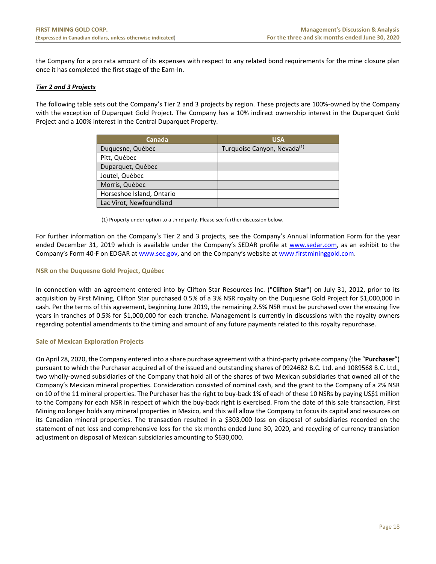the Company for a pro rata amount of its expenses with respect to any related bond requirements for the mine closure plan once it has completed the first stage of the Earn‐In.

# *Tier 2 and 3 Projects*

The following table sets out the Company's Tier 2 and 3 projects by region. These projects are 100%‐owned by the Company with the exception of Duparquet Gold Project. The Company has a 10% indirect ownership interest in the Duparquet Gold Project and a 100% interest in the Central Duparquet Property.

| Canada                    | <b>USA</b>                              |
|---------------------------|-----------------------------------------|
| Duquesne, Québec          | Turquoise Canyon, Nevada <sup>(1)</sup> |
| Pitt, Québec              |                                         |
| Duparquet, Québec         |                                         |
| Joutel, Québec            |                                         |
| Morris, Québec            |                                         |
| Horseshoe Island, Ontario |                                         |
| Lac Virot, Newfoundland   |                                         |

(1) Property under option to a third party. Please see further discussion below.

For further information on the Company's Tier 2 and 3 projects, see the Company's Annual Information Form for the year ended December 31, 2019 which is available under the Company's SEDAR profile at www.sedar.com, as an exhibit to the Company's Form 40-F on EDGAR at www.sec.gov, and on the Company's website at www.firstmininggold.com.

#### **NSR on the Duquesne Gold Project, Québec**

In connection with an agreement entered into by Clifton Star Resources Inc. ("**Clifton Star**") on July 31, 2012, prior to its acquisition by First Mining, Clifton Star purchased 0.5% of a 3% NSR royalty on the Duquesne Gold Project for \$1,000,000 in cash. Per the terms of this agreement, beginning June 2019, the remaining 2.5% NSR must be purchased over the ensuing five years in tranches of 0.5% for \$1,000,000 for each tranche. Management is currently in discussions with the royalty owners regarding potential amendments to the timing and amount of any future payments related to this royalty repurchase.

#### **Sale of Mexican Exploration Projects**

On April 28, 2020, the Company entered into a share purchase agreement with a third‐party private company (the "**Purchaser**") pursuant to which the Purchaser acquired all of the issued and outstanding shares of 0924682 B.C. Ltd. and 1089568 B.C. Ltd., two wholly‐owned subsidiaries of the Company that hold all of the shares of two Mexican subsidiaries that owned all of the Company's Mexican mineral properties. Consideration consisted of nominal cash, and the grant to the Company of a 2% NSR on 10 of the 11 mineral properties. The Purchaser has the right to buy‐back 1% of each of these 10 NSRs by paying US\$1 million to the Company for each NSR in respect of which the buy‐back right is exercised. From the date of this sale transaction, First Mining no longer holds any mineral properties in Mexico, and this will allow the Company to focus its capital and resources on its Canadian mineral properties. The transaction resulted in a \$303,000 loss on disposal of subsidiaries recorded on the statement of net loss and comprehensive loss for the six months ended June 30, 2020, and recycling of currency translation adjustment on disposal of Mexican subsidiaries amounting to \$630,000.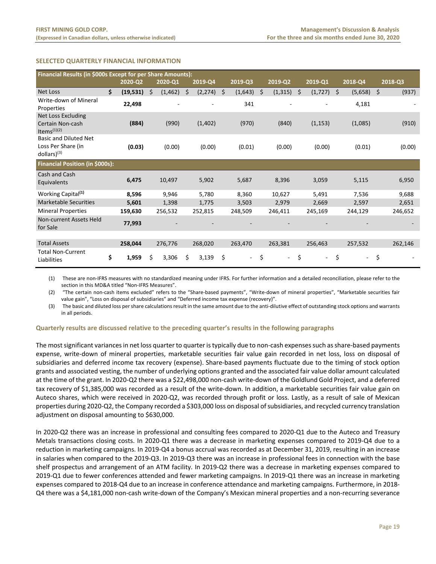# **SELECTED QUARTERLY FINANCIAL INFORMATION**

|                                                                            | Financial Results (in \$000s Except for per Share Amounts): |           |   |          |   |          |    |                          |    |                          |                |    |         |             |
|----------------------------------------------------------------------------|-------------------------------------------------------------|-----------|---|----------|---|----------|----|--------------------------|----|--------------------------|----------------|----|---------|-------------|
|                                                                            |                                                             | 2020-Q2   |   | 2020-Q1  |   | 2019-Q4  |    | $2019 - Q3$              |    | 2019-Q2                  | 2019-Q1        |    | 2018-Q4 | 2018-Q3     |
| <b>Net Loss</b>                                                            | \$                                                          | (19, 531) | Ś | (1, 462) | Ś | (2, 274) | Š. | (1,643)                  | Ŝ. | (1, 315)                 | \$<br>(1, 727) | Ŝ. | (5,658) | \$<br>(937) |
| Write-down of Mineral<br>Properties                                        |                                                             | 22,498    |   |          |   |          |    | 341                      |    |                          |                |    | 4,181   |             |
| Net Loss Excluding<br>Certain Non-cash<br>Items $(1)(2)$                   |                                                             | (884)     |   | (990)    |   | (1,402)  |    | (970)                    |    | (840)                    | (1, 153)       |    | (1,085) | (910)       |
| <b>Basic and Diluted Net</b><br>Loss Per Share (in<br>$d$ ollars $)^{(3)}$ |                                                             | (0.03)    |   | (0.00)   |   | (0.00)   |    | (0.01)                   |    | (0.00)                   | (0.00)         |    | (0.01)  | (0.00)      |
| Financial Position (in \$000s):                                            |                                                             |           |   |          |   |          |    |                          |    |                          |                |    |         |             |
| Cash and Cash<br>Equivalents                                               |                                                             | 6,475     |   | 10,497   |   | 5,902    |    | 5,687                    |    | 8,396                    | 3,059          |    | 5,115   | 6,950       |
| Working Capital <sup>(1)</sup>                                             |                                                             | 8,596     |   | 9,946    |   | 5,780    |    | 8,360                    |    | 10,627                   | 5,491          |    | 7,536   | 9,688       |
| <b>Marketable Securities</b>                                               |                                                             | 5,601     |   | 1,398    |   | 1,775    |    | 3,503                    |    | 2,979                    | 2,669          |    | 2,597   | 2,651       |
| <b>Mineral Properties</b>                                                  |                                                             | 159,630   |   | 256,532  |   | 252,815  |    | 248,509                  |    | 246,411                  | 245,169        |    | 244,129 | 246,652     |
| Non-current Assets Held<br>for Sale                                        |                                                             | 77,993    |   |          |   |          |    |                          |    |                          |                |    |         |             |
|                                                                            |                                                             |           |   |          |   |          |    |                          |    |                          |                |    |         |             |
| <b>Total Assets</b>                                                        |                                                             | 258,044   |   | 276,776  |   | 268,020  |    | 263,470                  |    | 263,381                  | 256,463        |    | 257,532 | 262,146     |
| <b>Total Non-Current</b><br>Liabilities                                    | \$                                                          | 1,959     | Ś | 3,306    | Ś | 3,139    | \$ | $\overline{\phantom{0}}$ | \$ | $\overline{\phantom{a}}$ | \$<br>$\sim$   | \$ | $\sim$  | \$          |

(1) These are non‐IFRS measures with no standardized meaning under IFRS. For further information and a detailed reconciliation, please refer to the section in this MD&A titled "Non‐IFRS Measures".

(2) "The certain non‐cash items excluded" refers to the "Share‐based payments", "Write‐down of mineral properties", "Marketable securities fair value gain", "Loss on disposal of subsidiaries" and "Deferred income tax expense (recovery)".

(3) The basic and diluted loss per share calculations result in the same amount due to the anti‐dilutive effect of outstanding stock options and warrants in all periods.

#### **Quarterly results are discussed relative to the preceding quarter's results in the following paragraphs**

The most significant variances in net loss quarter to quarter is typically due to non‐cash expenses such as share‐based payments expense, write-down of mineral properties, marketable securities fair value gain recorded in net loss, loss on disposal of subsidiaries and deferred income tax recovery (expense). Share-based payments fluctuate due to the timing of stock option grants and associated vesting, the number of underlying options granted and the associated fair value dollar amount calculated at the time of the grant. In 2020‐Q2 there was a \$22,498,000 non‐cash write‐down of the Goldlund Gold Project, and a deferred tax recovery of \$1,385,000 was recorded as a result of the write‐down. In addition, a marketable securities fair value gain on Auteco shares, which were received in 2020‐Q2, was recorded through profit or loss. Lastly, as a result of sale of Mexican properties during 2020‐Q2, the Company recorded a \$303,000 loss on disposal of subsidiaries, and recycled currency translation adjustment on disposal amounting to \$630,000.

In 2020‐Q2 there was an increase in professional and consulting fees compared to 2020‐Q1 due to the Auteco and Treasury Metals transactions closing costs. In 2020‐Q1 there was a decrease in marketing expenses compared to 2019‐Q4 due to a reduction in marketing campaigns. In 2019‐Q4 a bonus accrual was recorded as at December 31, 2019, resulting in an increase in salaries when compared to the 2019‐Q3. In 2019‐Q3 there was an increase in professional fees in connection with the base shelf prospectus and arrangement of an ATM facility. In 2019‐Q2 there was a decrease in marketing expenses compared to 2019‐Q1 due to fewer conferences attended and fewer marketing campaigns. In 2019‐Q1 there was an increase in marketing expenses compared to 2018‐Q4 due to an increase in conference attendance and marketing campaigns. Furthermore, in 2018‐ Q4 there was a \$4,181,000 non-cash write-down of the Company's Mexican mineral properties and a non-recurring severance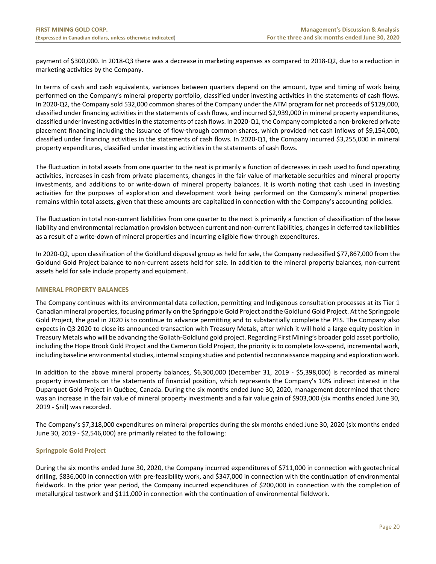payment of \$300,000. In 2018‐Q3 there was a decrease in marketing expenses as compared to 2018‐Q2, due to a reduction in marketing activities by the Company.

In terms of cash and cash equivalents, variances between quarters depend on the amount, type and timing of work being performed on the Company's mineral property portfolio, classified under investing activities in the statements of cash flows. In 2020‐Q2, the Company sold 532,000 common shares of the Company under the ATM program for net proceeds of \$129,000, classified under financing activities in the statements of cash flows, and incurred \$2,939,000 in mineral property expenditures, classified under investing activities in the statements of cash flows. In 2020‐Q1, the Company completed a non‐brokered private placement financing including the issuance of flow-through common shares, which provided net cash inflows of \$9,154,000, classified under financing activities in the statements of cash flows. In 2020‐Q1, the Company incurred \$3,255,000 in mineral property expenditures, classified under investing activities in the statements of cash flows.

The fluctuation in total assets from one quarter to the next is primarily a function of decreases in cash used to fund operating activities, increases in cash from private placements, changes in the fair value of marketable securities and mineral property investments, and additions to or write-down of mineral property balances. It is worth noting that cash used in investing activities for the purposes of exploration and development work being performed on the Company's mineral properties remains within total assets, given that these amounts are capitalized in connection with the Company's accounting policies.

The fluctuation in total non‐current liabilities from one quarter to the next is primarily a function of classification of the lease liability and environmental reclamation provision between current and non-current liabilities, changes in deferred tax liabilities as a result of a write-down of mineral properties and incurring eligible flow-through expenditures.

In 2020‐Q2, upon classification of the Goldlund disposal group as held for sale, the Company reclassified \$77,867,000 from the Goldund Gold Project balance to non‐current assets held for sale. In addition to the mineral property balances, non‐current assets held for sale include property and equipment.

# **MINERAL PROPERTY BALANCES**

The Company continues with its environmental data collection, permitting and Indigenous consultation processes at its Tier 1 Canadian mineral properties, focusing primarily on the Springpole Gold Project and the Goldlund Gold Project. At the Springpole Gold Project, the goal in 2020 is to continue to advance permitting and to substantially complete the PFS. The Company also expects in Q3 2020 to close its announced transaction with Treasury Metals, after which it will hold a large equity position in Treasury Metals who will be advancing the Goliath‐Goldlund gold project. Regarding First Mining's broader gold asset portfolio, including the Hope Brook Gold Project and the Cameron Gold Project, the priority is to complete low‐spend, incremental work, including baseline environmental studies, internal scoping studies and potential reconnaissance mapping and exploration work.

In addition to the above mineral property balances, \$6,300,000 (December 31, 2019 - \$5,398,000) is recorded as mineral property investments on the statements of financial position, which represents the Company's 10% indirect interest in the Duparquet Gold Project in Québec, Canada. During the six months ended June 30, 2020, management determined that there was an increase in the fair value of mineral property investments and a fair value gain of \$903,000 (six months ended June 30, 2019 ‐ \$nil) was recorded.

The Company's \$7,318,000 expenditures on mineral properties during the six months ended June 30, 2020 (six months ended June 30, 2019 ‐ \$2,546,000) are primarily related to the following:

# **Springpole Gold Project**

During the six months ended June 30, 2020, the Company incurred expenditures of \$711,000 in connection with geotechnical drilling, \$836,000 in connection with pre‐feasibility work, and \$347,000 in connection with the continuation of environmental fieldwork. In the prior year period, the Company incurred expenditures of \$200,000 in connection with the completion of metallurgical testwork and \$111,000 in connection with the continuation of environmental fieldwork.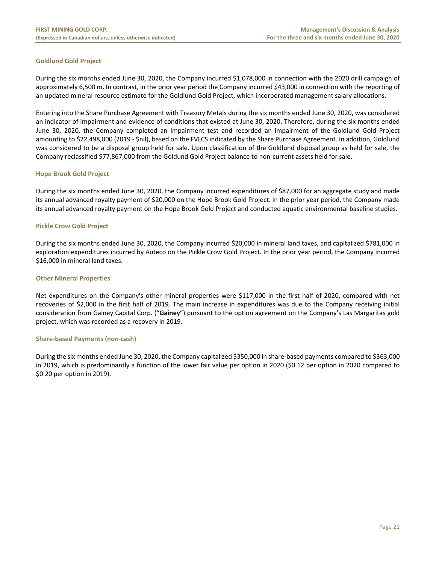# **Goldlund Gold Project**

During the six months ended June 30, 2020, the Company incurred \$1,078,000 in connection with the 2020 drill campaign of approximately 6,500 m. In contrast, in the prior year period the Company incurred \$43,000 in connection with the reporting of an updated mineral resource estimate for the Goldlund Gold Project, which incorporated management salary allocations.

Entering into the Share Purchase Agreement with Treasury Metals during the six months ended June 30, 2020, was considered an indicator of impairment and evidence of conditions that existed at June 30, 2020. Therefore, during the six months ended June 30, 2020, the Company completed an impairment test and recorded an impairment of the Goldlund Gold Project amounting to \$22,498,000 (2019 ‐ \$nil), based on the FVLCS indicated by the Share Purchase Agreement. In addition, Goldlund was considered to be a disposal group held for sale. Upon classification of the Goldlund disposal group as held for sale, the Company reclassified \$77,867,000 from the Goldund Gold Project balance to non‐current assets held for sale.

#### **Hope Brook Gold Project**

During the six months ended June 30, 2020, the Company incurred expenditures of \$87,000 for an aggregate study and made its annual advanced royalty payment of \$20,000 on the Hope Brook Gold Project. In the prior year period, the Company made its annual advanced royalty payment on the Hope Brook Gold Project and conducted aquatic environmental baseline studies.

#### **Pickle Crow Gold Project**

During the six months ended June 30, 2020, the Company incurred \$20,000 in mineral land taxes, and capitalized \$781,000 in exploration expenditures incurred by Auteco on the Pickle Crow Gold Project. In the prior year period, the Company incurred \$16,000 in mineral land taxes.

#### **Other Mineral Properties**

Net expenditures on the Company's other mineral properties were \$117,000 in the first half of 2020, compared with net recoveries of \$2,000 in the first half of 2019. The main increase in expenditures was due to the Company receiving initial consideration from Gainey Capital Corp. ("**Gainey**") pursuant to the option agreement on the Company's Las Margaritas gold project, which was recorded as a recovery in 2019.

#### **Share‐based Payments (non‐cash)**

During the six months ended June 30, 2020, the Company capitalized \$350,000 in share‐based payments compared to \$363,000 in 2019, which is predominantly a function of the lower fair value per option in 2020 (\$0.12 per option in 2020 compared to \$0.20 per option in 2019).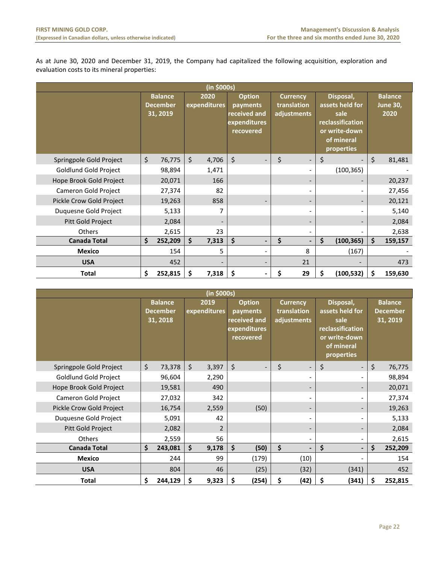As at June 30, 2020 and December 31, 2019, the Company had capitalized the following acquisition, exploration and evaluation costs to its mineral properties:

| (in \$000s)              |    |                                               |    |                      |                                                                        |         |                                               |    |                                                                                                       |    |                                           |  |
|--------------------------|----|-----------------------------------------------|----|----------------------|------------------------------------------------------------------------|---------|-----------------------------------------------|----|-------------------------------------------------------------------------------------------------------|----|-------------------------------------------|--|
|                          |    | <b>Balance</b><br><b>December</b><br>31, 2019 |    | 2020<br>expenditures | <b>Option</b><br>payments<br>received and<br>expenditures<br>recovered |         | <b>Currency</b><br>translation<br>adjustments |    | Disposal,<br>assets held for<br>sale<br>reclassification<br>or write-down<br>of mineral<br>properties |    | <b>Balance</b><br><b>June 30,</b><br>2020 |  |
| Springpole Gold Project  | \$ | 76,775                                        | \$ | 4,706                | $\zeta$<br>$\overline{\phantom{a}}$                                    | $\zeta$ | $\overline{\phantom{0}}$                      | \$ |                                                                                                       | \$ | 81,481                                    |  |
| Goldlund Gold Project    |    | 98,894                                        |    | 1,471                |                                                                        |         |                                               |    | (100, 365)                                                                                            |    |                                           |  |
| Hope Brook Gold Project  |    | 20,071                                        |    | 166                  |                                                                        |         |                                               |    |                                                                                                       |    | 20,237                                    |  |
| Cameron Gold Project     |    | 27,374                                        |    | 82                   |                                                                        |         | $\overline{a}$                                |    |                                                                                                       |    | 27,456                                    |  |
| Pickle Crow Gold Project |    | 19,263                                        |    | 858                  |                                                                        |         | $\qquad \qquad \blacksquare$                  |    |                                                                                                       |    | 20,121                                    |  |
| Duquesne Gold Project    |    | 5,133                                         |    | 7                    |                                                                        |         | $\qquad \qquad \blacksquare$                  |    |                                                                                                       |    | 5,140                                     |  |
| Pitt Gold Project        |    | 2,084                                         |    |                      |                                                                        |         | $\overline{\phantom{0}}$                      |    |                                                                                                       |    | 2,084                                     |  |
| <b>Others</b>            |    | 2,615                                         |    | 23                   |                                                                        |         | $\overline{\phantom{0}}$                      |    |                                                                                                       |    | 2,638                                     |  |
| <b>Canada Total</b>      | \$ | 252,209                                       | \$ | 7,313                | \$<br>$\overline{\phantom{a}}$                                         | \$      | $\blacksquare$                                | \$ | (100, 365)                                                                                            | Ś. | 159,157                                   |  |
| <b>Mexico</b>            |    | 154                                           |    | 5                    |                                                                        |         | 8                                             |    | (167)                                                                                                 |    |                                           |  |
| <b>USA</b>               |    | 452                                           |    |                      |                                                                        |         | 21                                            |    |                                                                                                       |    | 473                                       |  |
| <b>Total</b>             | \$ | 252,815                                       | \$ | 7,318                | \$                                                                     | \$      | 29                                            | \$ | (100, 532)                                                                                            | \$ | 159,630                                   |  |

| (in \$000s)              |    |                                                                                                                                                                                                                                                                                                           |         |       |    |       |    |                          |                                               |                |         |         |
|--------------------------|----|-----------------------------------------------------------------------------------------------------------------------------------------------------------------------------------------------------------------------------------------------------------------------------------------------------------|---------|-------|----|-------|----|--------------------------|-----------------------------------------------|----------------|---------|---------|
|                          |    | <b>Balance</b><br>2019<br><b>Option</b><br>Disposal,<br><b>Currency</b><br>expenditures<br>assets held for<br><b>December</b><br>translation<br>payments<br>received and<br>31, 2018<br>adjustments<br>sale<br>expenditures<br>reclassification<br>recovered<br>or write-down<br>of mineral<br>properties |         |       |    |       |    |                          | <b>Balance</b><br><b>December</b><br>31, 2019 |                |         |         |
| Springpole Gold Project  | \$ | 73,378                                                                                                                                                                                                                                                                                                    | $\zeta$ | 3,397 | \$ |       | \$ | $\overline{\phantom{a}}$ | \$                                            |                | $\zeta$ | 76,775  |
| Goldlund Gold Project    |    | 96,604                                                                                                                                                                                                                                                                                                    |         | 2,290 |    |       |    | $\overline{\phantom{a}}$ |                                               |                |         | 98,894  |
| Hope Brook Gold Project  |    | 19,581                                                                                                                                                                                                                                                                                                    |         | 490   |    |       |    | $\overline{\phantom{a}}$ |                                               |                |         | 20,071  |
| Cameron Gold Project     |    | 27,032                                                                                                                                                                                                                                                                                                    |         | 342   |    |       |    | $\overline{\phantom{a}}$ |                                               |                |         | 27,374  |
| Pickle Crow Gold Project |    | 16,754                                                                                                                                                                                                                                                                                                    |         | 2,559 |    | (50)  |    | $\overline{\phantom{a}}$ |                                               |                |         | 19,263  |
| Duquesne Gold Project    |    | 5,091                                                                                                                                                                                                                                                                                                     |         | 42    |    |       |    | $\overline{\phantom{a}}$ |                                               |                |         | 5,133   |
| Pitt Gold Project        |    | 2,082                                                                                                                                                                                                                                                                                                     |         | 2     |    |       |    | $\overline{\phantom{a}}$ |                                               |                |         | 2,084   |
| <b>Others</b>            |    | 2,559                                                                                                                                                                                                                                                                                                     |         | 56    |    |       |    | $\blacksquare$           |                                               |                |         | 2,615   |
| <b>Canada Total</b>      | \$ | 243,081                                                                                                                                                                                                                                                                                                   | \$      | 9,178 | \$ | (50)  | \$ | $\overline{\phantom{0}}$ | \$                                            | $\blacksquare$ | \$      | 252,209 |
| <b>Mexico</b>            |    | 244                                                                                                                                                                                                                                                                                                       |         | 99    |    | (179) |    | (10)                     |                                               |                |         | 154     |
| <b>USA</b>               |    | 804                                                                                                                                                                                                                                                                                                       |         | 46    |    | (25)  |    | (32)                     |                                               | (341)          |         | 452     |
| <b>Total</b>             | \$ | 244,129                                                                                                                                                                                                                                                                                                   | \$      | 9,323 | \$ | (254) | \$ | (42)                     | \$                                            | (341)          | Ś.      | 252,815 |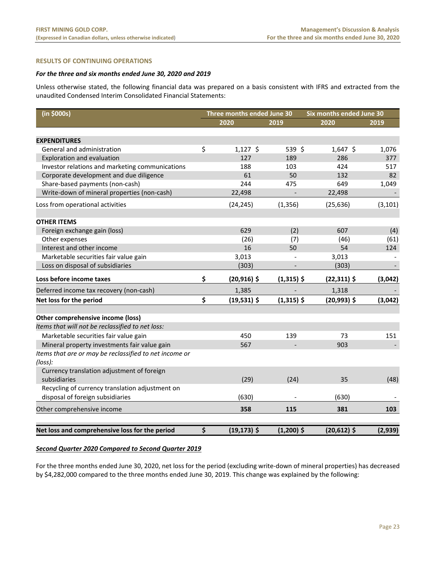# **RESULTS OF CONTINUING OPERATIONS**

# *For the three and six months ended June 30, 2020 and 2019*

Unless otherwise stated, the following financial data was prepared on a basis consistent with IFRS and extracted from the unaudited Condensed Interim Consolidated Financial Statements:

| (in \$000s)                                            | Three months ended June 30 |              | Six months ended June 30 |          |  |  |  |
|--------------------------------------------------------|----------------------------|--------------|--------------------------|----------|--|--|--|
|                                                        | 2020                       | 2019         | 2020                     | 2019     |  |  |  |
|                                                        |                            |              |                          |          |  |  |  |
| <b>EXPENDITURES</b>                                    |                            |              |                          |          |  |  |  |
| General and administration                             | \$<br>$1,127$ \$           | 539 \$       | $1,647$ \$               | 1,076    |  |  |  |
| <b>Exploration and evaluation</b>                      | 127                        | 189          | 286                      | 377      |  |  |  |
| Investor relations and marketing communications        | 188                        | 103          | 424                      | 517      |  |  |  |
| Corporate development and due diligence                | 61                         | 50           | 132                      | 82       |  |  |  |
| Share-based payments (non-cash)                        | 244                        | 475          | 649                      | 1,049    |  |  |  |
| Write-down of mineral properties (non-cash)            | 22,498                     |              | 22,498                   |          |  |  |  |
| Loss from operational activities                       | (24, 245)                  | (1, 356)     | (25, 636)                | (3, 101) |  |  |  |
| <b>OTHER ITEMS</b>                                     |                            |              |                          |          |  |  |  |
| Foreign exchange gain (loss)                           | 629                        | (2)          | 607                      | (4)      |  |  |  |
| Other expenses                                         | (26)                       | (7)          | (46)                     | (61)     |  |  |  |
| Interest and other income                              | 16                         | 50           | 54                       | 124      |  |  |  |
| Marketable securities fair value gain                  | 3,013                      |              | 3,013                    |          |  |  |  |
| Loss on disposal of subsidiaries                       | (303)                      |              | (303)                    |          |  |  |  |
| Loss before income taxes                               | \$<br>$(20,916)$ \$        | $(1,315)$ \$ | $(22,311)$ \$            | (3,042)  |  |  |  |
| Deferred income tax recovery (non-cash)                | 1,385                      |              | 1,318                    |          |  |  |  |
| Net loss for the period                                | \$<br>$(19,531)$ \$        | $(1,315)$ \$ | $(20,993)$ \$            | (3,042)  |  |  |  |
|                                                        |                            |              |                          |          |  |  |  |
| Other comprehensive income (loss)                      |                            |              |                          |          |  |  |  |
| Items that will not be reclassified to net loss:       |                            |              |                          |          |  |  |  |
| Marketable securities fair value gain                  | 450                        | 139          | 73                       | 151      |  |  |  |
| Mineral property investments fair value gain           | 567                        |              | 903                      |          |  |  |  |
| Items that are or may be reclassified to net income or |                            |              |                          |          |  |  |  |
| (loss):                                                |                            |              |                          |          |  |  |  |
| Currency translation adjustment of foreign             |                            |              |                          |          |  |  |  |
| subsidiaries                                           | (29)                       | (24)         | 35                       | (48)     |  |  |  |
| Recycling of currency translation adjustment on        |                            |              |                          |          |  |  |  |
| disposal of foreign subsidiaries                       | (630)                      |              | (630)                    |          |  |  |  |
| Other comprehensive income                             | 358                        | 115          | 381                      | 103      |  |  |  |
| Net loss and comprehensive loss for the period         | \$<br>$(19, 173)$ \$       | $(1,200)$ \$ | $(20,612)$ \$            | (2,939)  |  |  |  |

#### *Second Quarter 2020 Compared to Second Quarter 2019*

For the three months ended June 30, 2020, net loss for the period (excluding write‐down of mineral properties) has decreased by \$4,282,000 compared to the three months ended June 30, 2019. This change was explained by the following: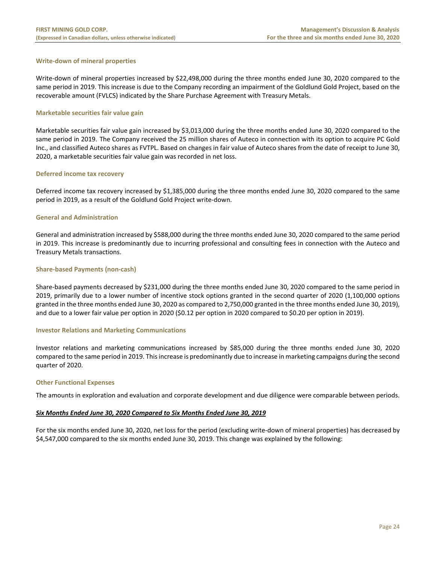# **Write‐down of mineral properties**

Write-down of mineral properties increased by \$22,498,000 during the three months ended June 30, 2020 compared to the same period in 2019. This increase is due to the Company recording an impairment of the Goldlund Gold Project, based on the recoverable amount (FVLCS) indicated by the Share Purchase Agreement with Treasury Metals.

#### **Marketable securities fair value gain**

Marketable securities fair value gain increased by \$3,013,000 during the three months ended June 30, 2020 compared to the same period in 2019. The Company received the 25 million shares of Auteco in connection with its option to acquire PC Gold Inc., and classified Auteco shares as FVTPL. Based on changes in fair value of Auteco shares from the date of receipt to June 30, 2020, a marketable securities fair value gain was recorded in net loss.

#### **Deferred income tax recovery**

Deferred income tax recovery increased by \$1,385,000 during the three months ended June 30, 2020 compared to the same period in 2019, as a result of the Goldlund Gold Project write‐down.

#### **General and Administration**

General and administration increased by \$588,000 during the three months ended June 30, 2020 compared to the same period in 2019. This increase is predominantly due to incurring professional and consulting fees in connection with the Auteco and Treasury Metals transactions.

#### **Share‐based Payments (non‐cash)**

Share-based payments decreased by \$231,000 during the three months ended June 30, 2020 compared to the same period in 2019, primarily due to a lower number of incentive stock options granted in the second quarter of 2020 (1,100,000 options granted in the three months ended June 30, 2020 as compared to 2,750,000 granted in the three months ended June 30, 2019), and due to a lower fair value per option in 2020 (\$0.12 per option in 2020 compared to \$0.20 per option in 2019).

#### **Investor Relations and Marketing Communications**

Investor relations and marketing communications increased by \$85,000 during the three months ended June 30, 2020 compared to the same period in 2019. This increase is predominantly due to increase in marketing campaigns during the second quarter of 2020.

#### **Other Functional Expenses**

The amounts in exploration and evaluation and corporate development and due diligence were comparable between periods.

#### *Six Months Ended June 30, 2020 Compared to Six Months Ended June 30, 2019*

For the six months ended June 30, 2020, net loss for the period (excluding write‐down of mineral properties) has decreased by \$4,547,000 compared to the six months ended June 30, 2019. This change was explained by the following: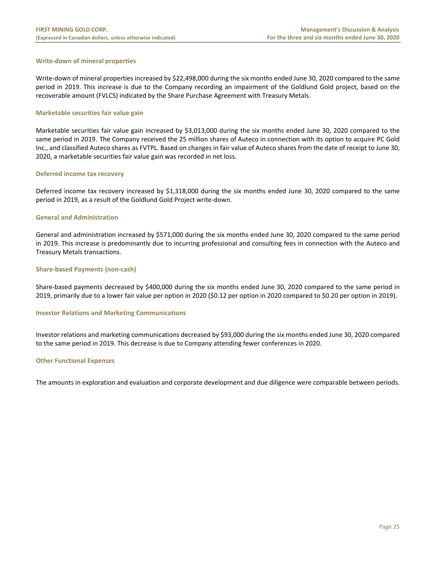## **Write‐down of mineral properties**

Write-down of mineral properties increased by \$22,498,000 during the six months ended June 30, 2020 compared to the same period in 2019. This increase is due to the Company recording an impairment of the Goldlund Gold project, based on the recoverable amount (FVLCS) indicated by the Share Purchase Agreement with Treasury Metals.

#### **Marketable securities fair value gain**

Marketable securities fair value gain increased by \$3,013,000 during the six months ended June 30, 2020 compared to the same period in 2019. The Company received the 25 million shares of Auteco in connection with its option to acquire PC Gold Inc., and classified Auteco shares as FVTPL. Based on changes in fair value of Auteco shares from the date of receipt to June 30, 2020, a marketable securities fair value gain was recorded in net loss.

#### **Deferred income tax recovery**

Deferred income tax recovery increased by \$1,318,000 during the six months ended June 30, 2020 compared to the same period in 2019, as a result of the Goldlund Gold Project write‐down.

#### **General and Administration**

General and administration increased by \$571,000 during the six months ended June 30, 2020 compared to the same period in 2019. This increase is predominantly due to incurring professional and consulting fees in connection with the Auteco and Treasury Metals transactions.

#### **Share‐based Payments (non‐cash)**

Share‐based payments decreased by \$400,000 during the six months ended June 30, 2020 compared to the same period in 2019, primarily due to a lower fair value per option in 2020 (\$0.12 per option in 2020 compared to \$0.20 per option in 2019).

#### **Investor Relations and Marketing Communications**

Investor relations and marketing communications decreased by \$93,000 during the six months ended June 30, 2020 compared to the same period in 2019. This decrease is due to Company attending fewer conferences in 2020.

#### **Other Functional Expenses**

The amounts in exploration and evaluation and corporate development and due diligence were comparable between periods.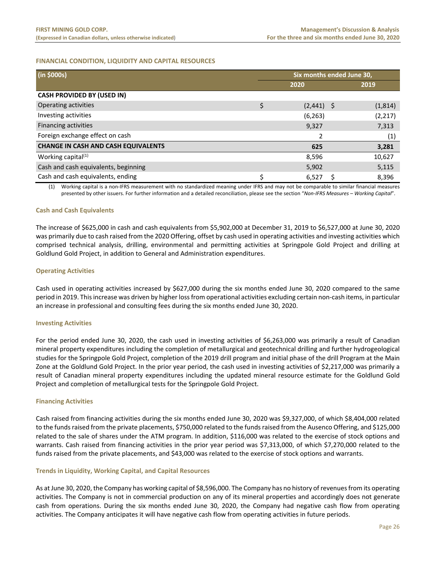# **FINANCIAL CONDITION, LIQUIDITY AND CAPITAL RESOURCES**

| (in \$000s)                                | Six months ended June 30, |              |  |          |  |
|--------------------------------------------|---------------------------|--------------|--|----------|--|
|                                            |                           | 2020         |  | 2019     |  |
| <b>CASH PROVIDED BY (USED IN)</b>          |                           |              |  |          |  |
| Operating activities                       | \$                        | $(2,441)$ \$ |  | (1,814)  |  |
| Investing activities                       |                           | (6, 263)     |  | (2, 217) |  |
| <b>Financing activities</b>                |                           | 9,327        |  | 7,313    |  |
| Foreign exchange effect on cash            |                           |              |  | (1)      |  |
| <b>CHANGE IN CASH AND CASH EQUIVALENTS</b> |                           | 625          |  | 3,281    |  |
| Working capital <sup>(1)</sup>             |                           | 8,596        |  | 10,627   |  |
| Cash and cash equivalents, beginning       |                           | 5,902        |  | 5,115    |  |
| Cash and cash equivalents, ending          | Ś                         | 6,527        |  | 8,396    |  |

(1) Working capital is a non‐IFRS measurement with no standardized meaning under IFRS and may not be comparable to similar financial measures presented by other issuers. For further information and a detailed reconciliation, please see the section "*Non‐IFRS Measures – Working Capital*".

#### **Cash and Cash Equivalents**

The increase of \$625,000 in cash and cash equivalents from \$5,902,000 at December 31, 2019 to \$6,527,000 at June 30, 2020 was primarily due to cash raised from the 2020 Offering, offset by cash used in operating activities and investing activities which comprised technical analysis, drilling, environmental and permitting activities at Springpole Gold Project and drilling at Goldlund Gold Project, in addition to General and Administration expenditures.

#### **Operating Activities**

Cash used in operating activities increased by \$627,000 during the six months ended June 30, 2020 compared to the same period in 2019. This increase was driven by higher loss from operational activities excluding certain non‐cash items, in particular an increase in professional and consulting fees during the six months ended June 30, 2020.

#### **Investing Activities**

For the period ended June 30, 2020, the cash used in investing activities of \$6,263,000 was primarily a result of Canadian mineral property expenditures including the completion of metallurgical and geotechnical drilling and further hydrogeological studies for the Springpole Gold Project, completion of the 2019 drill program and initial phase of the drill Program at the Main Zone at the Goldlund Gold Project. In the prior year period, the cash used in investing activities of \$2,217,000 was primarily a result of Canadian mineral property expenditures including the updated mineral resource estimate for the Goldlund Gold Project and completion of metallurgical tests for the Springpole Gold Project.

#### **Financing Activities**

Cash raised from financing activities during the six months ended June 30, 2020 was \$9,327,000, of which \$8,404,000 related to the funds raised from the private placements, \$750,000 related to the funds raised from the Ausenco Offering, and \$125,000 related to the sale of shares under the ATM program. In addition, \$116,000 was related to the exercise of stock options and warrants. Cash raised from financing activities in the prior year period was \$7,313,000, of which \$7,270,000 related to the funds raised from the private placements, and \$43,000 was related to the exercise of stock options and warrants.

#### **Trends in Liquidity, Working Capital, and Capital Resources**

As at June 30, 2020, the Company has working capital of \$8,596,000. The Company has no history of revenues from its operating activities. The Company is not in commercial production on any of its mineral properties and accordingly does not generate cash from operations. During the six months ended June 30, 2020, the Company had negative cash flow from operating activities. The Company anticipates it will have negative cash flow from operating activities in future periods.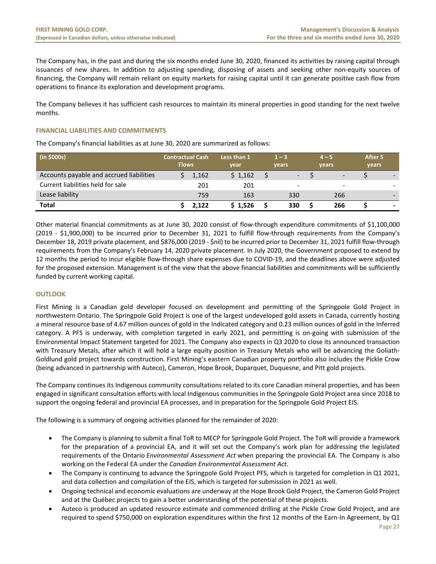The Company has, in the past and during the six months ended June 30, 2020, financed its activities by raising capital through issuances of new shares. In addition to adjusting spending, disposing of assets and seeking other non-equity sources of financing, the Company will remain reliant on equity markets for raising capital until it can generate positive cash flow from operations to finance its exploration and development programs.

The Company believes it has sufficient cash resources to maintain its mineral properties in good standing for the next twelve months.

#### **FINANCIAL LIABILITIES AND COMMITMENTS**

The Company's financial liabilities as at June 30, 2020 are summarized as follows:

| (in \$000s)                              | <b>Contractual Cash</b><br><b>Flows</b> | Less than 1<br>year | $1 - 3$<br>vears         | $4 - 5$<br>vears         |                          | After 5<br>vears |
|------------------------------------------|-----------------------------------------|---------------------|--------------------------|--------------------------|--------------------------|------------------|
| Accounts payable and accrued liabilities | 1,162                                   | \$1,162             |                          | $\overline{\phantom{0}}$ | $\overline{\phantom{a}}$ |                  |
| Current liabilities held for sale        |                                         | 201<br>201          | $\overline{\phantom{0}}$ |                          | -                        |                  |
| Lease liability                          |                                         | 759<br>163          | 330                      |                          | 266                      |                  |
| <b>Total</b>                             | 2.122                                   | \$1.526             | 330                      |                          | 266                      |                  |

Other material financial commitments as at June 30, 2020 consist of flow‐through expenditure commitments of \$1,100,000 (2019 ‐ \$1,900,000) to be incurred prior to December 31, 2021 to fulfill flow‐through requirements from the Company's December 18, 2019 private placement, and \$876,000 (2019 ‐ \$nil) to be incurred prior to December 31, 2021 fulfill flow‐through requirements from the Company's February 14, 2020 private placement. In July 2020, the Government proposed to extend by 12 months the period to incur eligible flow-through share expenses due to COVID-19, and the deadlines above were adjusted for the proposed extension. Management is of the view that the above financial liabilities and commitments will be sufficiently funded by current working capital.

# **OUTLOOK**

First Mining is a Canadian gold developer focused on development and permitting of the Springpole Gold Project in northwestern Ontario. The Springpole Gold Project is one of the largest undeveloped gold assets in Canada, currently hosting a mineral resource base of 4.67 million ounces of gold in the Indicated category and 0.23 million ounces of gold in the Inferred category. A PFS is underway, with completion targeted in early 2021, and permitting is on-going with submission of the Environmental Impact Statement targeted for 2021. The Company also expects in Q3 2020 to close its announced transaction with Treasury Metals, after which it will hold a large equity position in Treasury Metals who will be advancing the Goliath-Goldlund gold project towards construction. First Mining's eastern Canadian property portfolio also includes the Pickle Crow (being advanced in partnership with Auteco), Cameron, Hope Brook, Duparquet, Duquesne, and Pitt gold projects.

The Company continues its Indigenous community consultations related to its core Canadian mineral properties, and has been engaged in significant consultation efforts with local Indigenous communities in the Springpole Gold Project area since 2018 to support the ongoing federal and provincial EA processes, and in preparation for the Springpole Gold Project EIS.

The following is a summary of ongoing activities planned for the remainder of 2020:

- The Company is planning to submit a final ToR to MECP for Springpole Gold Project. The ToR will provide a framework for the preparation of a provincial EA, and it will set out the Company's work plan for addressing the legislated requirements of the Ontario *Environmental Assessment Act* when preparing the provincial EA. The Company is also working on the Federal EA under the *Canadian Environmental Assessment Act*.
- The Company is continuing to advance the Springpole Gold Project PFS, which is targeted for completion in Q1 2021, and data collection and compilation of the EIS, which is targeted for submission in 2021 as well.
- Ongoing technical and economic evaluations are underway at the Hope Brook Gold Project, the Cameron Gold Project and at the Québec projects to gain a better understanding of the potential of these projects.
- Auteco is produced an updated resource estimate and commenced drilling at the Pickle Crow Gold Project, and are required to spend \$750,000 on exploration expenditures within the first 12 months of the Earn-In Agreement, by Q1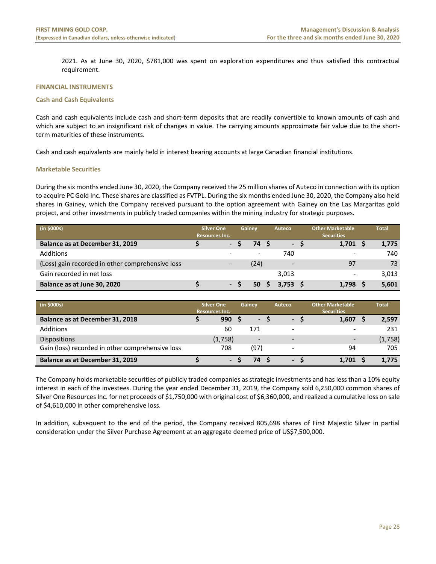2021. As at June 30, 2020, \$781,000 was spent on exploration expenditures and thus satisfied this contractual requirement.

#### **FINANCIAL INSTRUMENTS**

#### **Cash and Cash Equivalents**

Cash and cash equivalents include cash and short‐term deposits that are readily convertible to known amounts of cash and which are subject to an insignificant risk of changes in value. The carrying amounts approximate fair value due to the shortterm maturities of these instruments.

Cash and cash equivalents are mainly held in interest bearing accounts at large Canadian financial institutions.

#### **Marketable Securities**

During the six months ended June 30, 2020, the Company received the 25 million shares of Auteco in connection with its option to acquire PC Gold Inc. These shares are classified as FVTPL. During the six months ended June 30, 2020, the Company also held shares in Gainey, which the Company received pursuant to the option agreement with Gainey on the Las Margaritas gold project, and other investments in publicly traded companies within the mining industry for strategic purposes.

| (in \$000s)                                      | <b>Silver One</b><br><b>Resources Inc.</b> |  | Gainev | Auteco                   |     | <b>Other Marketable</b><br><b>Securities</b> | <b>Total</b> |
|--------------------------------------------------|--------------------------------------------|--|--------|--------------------------|-----|----------------------------------------------|--------------|
| Balance as at December 31, 2019                  |                                            |  | 74     |                          | - S | 1,701                                        | 1,775        |
| <b>Additions</b>                                 |                                            |  |        | 740                      |     | $\overline{\phantom{a}}$                     | 740          |
| (Loss) gain recorded in other comprehensive loss |                                            |  | (24)   | $\overline{\phantom{a}}$ |     | 97                                           | 73           |
| Gain recorded in net loss                        |                                            |  |        | 3.013                    |     | $\overline{\phantom{0}}$                     | 3,013        |
| Balance as at June 30, 2020                      |                                            |  | 50     | 3.753                    |     | 1,798                                        | 5,601        |

| (in \$000s)                                      | <b>Silver One</b><br><b>Resources Inc.</b> | Gainev | Auteco                   | <b>Other Marketable</b><br><b>Securities</b> | <b>Total</b> |
|--------------------------------------------------|--------------------------------------------|--------|--------------------------|----------------------------------------------|--------------|
| Balance as at December 31, 2018                  | 990                                        | $-1$   | $-S$                     | 1,607                                        | 2,597        |
| Additions                                        | 60                                         | 171    | $\overline{\phantom{a}}$ | -                                            | 231          |
| <b>Dispositions</b>                              | (1,758)                                    | -      | $\overline{\phantom{a}}$ | -                                            | (1,758)      |
| Gain (loss) recorded in other comprehensive loss | 708                                        | (97)   | -                        | 94                                           | 705          |
| Balance as at December 31, 2019                  |                                            | 74     | $\blacksquare$           | 1.701                                        | 1.775        |

The Company holds marketable securities of publicly traded companies as strategic investments and has less than a 10% equity interest in each of the investees. During the year ended December 31, 2019, the Company sold 6,250,000 common shares of Silver One Resources Inc. for net proceeds of \$1,750,000 with original cost of \$6,360,000, and realized a cumulative loss on sale of \$4,610,000 in other comprehensive loss.

In addition, subsequent to the end of the period, the Company received 805,698 shares of First Majestic Silver in partial consideration under the Silver Purchase Agreement at an aggregate deemed price of US\$7,500,000.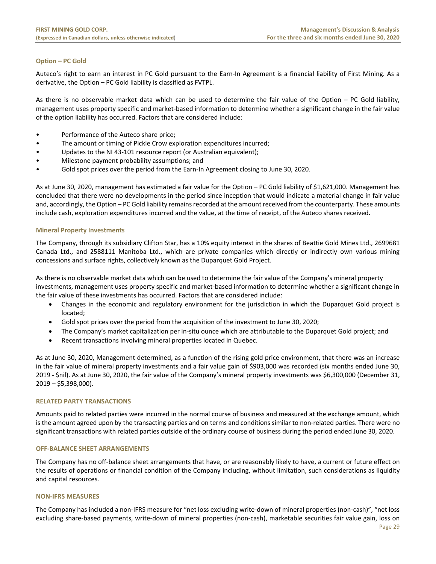# **Option – PC Gold**

Auteco's right to earn an interest in PC Gold pursuant to the Earn-In Agreement is a financial liability of First Mining. As a derivative, the Option – PC Gold liability is classified as FVTPL.

As there is no observable market data which can be used to determine the fair value of the Option – PC Gold liability, management uses property specific and market‐based information to determine whether a significant change in the fair value of the option liability has occurred. Factors that are considered include:

- Performance of the Auteco share price;
- The amount or timing of Pickle Crow exploration expenditures incurred;
- Updates to the NI 43-101 resource report (or Australian equivalent);
- Milestone payment probability assumptions; and
- Gold spot prices over the period from the Earn-In Agreement closing to June 30, 2020.

As at June 30, 2020, management has estimated a fair value for the Option – PC Gold liability of \$1,621,000. Management has concluded that there were no developments in the period since inception that would indicate a material change in fair value and, accordingly, the Option – PC Gold liability remains recorded at the amount received from the counterparty. These amounts include cash, exploration expenditures incurred and the value, at the time of receipt, of the Auteco shares received.

#### **Mineral Property Investments**

The Company, through its subsidiary Clifton Star, has a 10% equity interest in the shares of Beattie Gold Mines Ltd., 2699681 Canada Ltd., and 2588111 Manitoba Ltd., which are private companies which directly or indirectly own various mining concessions and surface rights, collectively known as the Duparquet Gold Project.

As there is no observable market data which can be used to determine the fair value of the Company's mineral property investments, management uses property specific and market‐based information to determine whether a significant change in the fair value of these investments has occurred. Factors that are considered include:

- Changes in the economic and regulatory environment for the jurisdiction in which the Duparquet Gold project is located;
- Gold spot prices over the period from the acquisition of the investment to June 30, 2020;
- The Company's market capitalization per in‐situ ounce which are attributable to the Duparquet Gold project; and
- Recent transactions involving mineral properties located in Quebec.

As at June 30, 2020, Management determined, as a function of the rising gold price environment, that there was an increase in the fair value of mineral property investments and a fair value gain of \$903,000 was recorded (six months ended June 30, 2019 ‐ \$nil). As at June 30, 2020, the fair value of the Company's mineral property investments was \$6,300,000 (December 31, 2019 – \$5,398,000).

#### **RELATED PARTY TRANSACTIONS**

Amounts paid to related parties were incurred in the normal course of business and measured at the exchange amount, which is the amount agreed upon by the transacting parties and on terms and conditions similar to non-related parties. There were no significant transactions with related parties outside of the ordinary course of business during the period ended June 30, 2020.

#### **OFF‐BALANCE SHEET ARRANGEMENTS**

The Company has no off‐balance sheet arrangements that have, or are reasonably likely to have, a current or future effect on the results of operations or financial condition of the Company including, without limitation, such considerations as liquidity and capital resources.

#### **NON‐IFRS MEASURES**

The Company has included a non‐IFRS measure for "net loss excluding write‐down of mineral properties (non‐cash)", "net loss excluding share‐based payments, write‐down of mineral properties (non‐cash), marketable securities fair value gain, loss on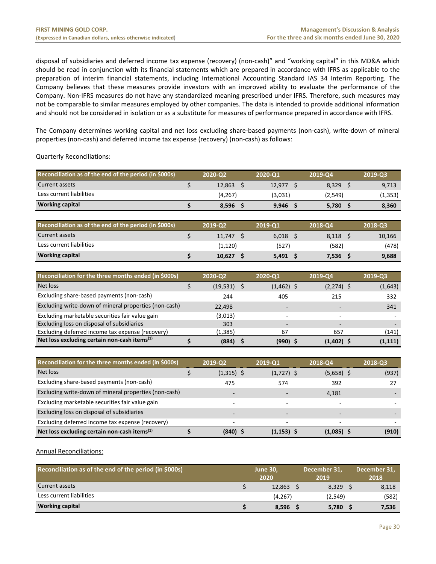disposal of subsidiaries and deferred income tax expense (recovery) (non-cash)" and "working capital" in this MD&A which should be read in conjunction with its financial statements which are prepared in accordance with IFRS as applicable to the preparation of interim financial statements, including International Accounting Standard IAS 34 Interim Reporting. The Company believes that these measures provide investors with an improved ability to evaluate the performance of the Company. Non‐IFRS measures do not have any standardized meaning prescribed under IFRS. Therefore, such measures may not be comparable to similar measures employed by other companies. The data is intended to provide additional information and should not be considered in isolation or as a substitute for measures of performance prepared in accordance with IFRS.

The Company determines working capital and net loss excluding share‐based payments (non‐cash), write‐down of mineral properties (non‐cash) and deferred income tax expense (recovery) (non‐cash) as follows:

# Quarterly Reconciliations:

| Reconciliation as of the end of the period (in \$000s) | 2020-Q2 | 2020-01 | 2019-Q4 | 2019-03  |
|--------------------------------------------------------|---------|---------|---------|----------|
| Current assets                                         | 12.863  | 12.977  | 8.329   | 9,713    |
| Less current liabilities                               | (4,267) | (3,031) | (2,549) | (1, 353) |
| <b>Working capital</b>                                 | 8,596   | 9,946   | 5,780   | 8,360    |

| Reconciliation as of the end of the period (in \$000s) | 2019-02 | 2019-01 | 2018-04 | 2018-03 |
|--------------------------------------------------------|---------|---------|---------|---------|
| Current assets                                         | 11.747  | 6.018   | 8.118   | 10,166  |
| Less current liabilities                               | (1,120) | (527)   | (582)   | (478)   |
| <b>Working capital</b>                                 | 10.627  | 5.491   | 7,536   | 9,688   |

| Reconciliation for the three months ended (in \$000s)    | 2020-Q2   |   | 2020-Q1                  | 2019-Q4                  | 2019-03  |
|----------------------------------------------------------|-----------|---|--------------------------|--------------------------|----------|
| Net loss                                                 | (19, 531) | S | $(1,462)$ \$             | $(2,274)$ \$             | (1,643)  |
| Excluding share-based payments (non-cash)                | 244       |   | 405                      | 215                      | 332      |
| Excluding write-down of mineral properties (non-cash)    | 22,498    |   | $\overline{\phantom{0}}$ |                          | 341      |
| Excluding marketable securities fair value gain          | (3,013)   |   | $\overline{a}$           | -                        |          |
| Excluding loss on disposal of subsidiaries               | 303       |   | $\overline{\phantom{a}}$ | $\overline{\phantom{0}}$ |          |
| Excluding deferred income tax expense (recovery)         | (1,385)   |   | 67                       | 657                      | (141)    |
| Net loss excluding certain non-cash items <sup>(1)</sup> | (884)     |   | (990) \$                 | $(1,402)$ \$             | (1, 111) |

| Reconciliation for the three months ended (in \$000s)    | 2019-Q2                  | 2019-Q1                  | 2018-Q4                  | 2018-03 |
|----------------------------------------------------------|--------------------------|--------------------------|--------------------------|---------|
| Net loss                                                 | $(1,315)$ \$             | $(1,727)$ \$             | $(5,658)$ \$             | (937)   |
| Excluding share-based payments (non-cash)                | 475                      | 574                      | 392                      | 27      |
| Excluding write-down of mineral properties (non-cash)    | $\overline{\phantom{0}}$ | $\overline{\phantom{0}}$ | 4,181                    |         |
| Excluding marketable securities fair value gain          | $\overline{\phantom{0}}$ | -                        |                          |         |
| Excluding loss on disposal of subsidiaries               | $\overline{\phantom{a}}$ | -                        | $\overline{\phantom{a}}$ |         |
| Excluding deferred income tax expense (recovery)         | ۰                        | ۰                        | $\overline{\phantom{0}}$ |         |
| Net loss excluding certain non-cash items <sup>(1)</sup> | (840) \$                 | $(1, 153)$ \$            | $(1,085)$ \$             | (910)   |

Annual Reconciliations:

| Reconciliation as of the end of the period (in \$000s) | <b>June 30.</b><br>2020 | December 31,<br>2019 | December 31,<br>2018 |
|--------------------------------------------------------|-------------------------|----------------------|----------------------|
| Current assets                                         | 12.863                  | 8.329                | 8,118                |
| Less current liabilities                               | (4, 267)                | (2.549)              | (582)                |
| <b>Working capital</b>                                 | 8,596                   | 5,780                | 7,536                |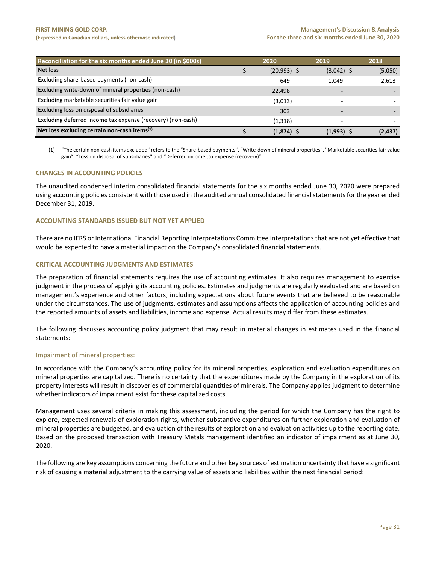| Reconciliation for the six months ended June 30 (in \$000s) | 2020          | 2019         | 2018     |
|-------------------------------------------------------------|---------------|--------------|----------|
| Net loss                                                    | $(20,993)$ \$ | $(3,042)$ \$ | (5,050)  |
| Excluding share-based payments (non-cash)                   | 649           | 1.049        | 2,613    |
| Excluding write-down of mineral properties (non-cash)       | 22,498        |              |          |
| Excluding marketable securities fair value gain             | (3,013)       |              |          |
| Excluding loss on disposal of subsidiaries                  | 303           |              |          |
| Excluding deferred income tax expense (recovery) (non-cash) | (1, 318)      |              |          |
| Net loss excluding certain non-cash items <sup>(1)</sup>    | $(1,874)$ \$  | $(1,993)$ \$ | (2, 437) |

(1) "The certain non‐cash items excluded" refers to the "Share‐based payments", "Write‐down of mineral properties", "Marketable securities fair value gain", "Loss on disposal of subsidiaries" and "Deferred income tax expense (recovery)".

# **CHANGES IN ACCOUNTING POLICIES**

The unaudited condensed interim consolidated financial statements for the six months ended June 30, 2020 were prepared using accounting policies consistent with those used in the audited annual consolidated financial statements for the year ended December 31, 2019.

# **ACCOUNTING STANDARDS ISSUED BUT NOT YET APPLIED**

There are no IFRS or International Financial Reporting Interpretations Committee interpretations that are not yet effective that would be expected to have a material impact on the Company's consolidated financial statements.

# **CRITICAL ACCOUNTING JUDGMENTS AND ESTIMATES**

The preparation of financial statements requires the use of accounting estimates. It also requires management to exercise judgment in the process of applying its accounting policies. Estimates and judgments are regularly evaluated and are based on management's experience and other factors, including expectations about future events that are believed to be reasonable under the circumstances. The use of judgments, estimates and assumptions affects the application of accounting policies and the reported amounts of assets and liabilities, income and expense. Actual results may differ from these estimates.

The following discusses accounting policy judgment that may result in material changes in estimates used in the financial statements:

#### Impairment of mineral properties:

In accordance with the Company's accounting policy for its mineral properties, exploration and evaluation expenditures on mineral properties are capitalized. There is no certainty that the expenditures made by the Company in the exploration of its property interests will result in discoveries of commercial quantities of minerals. The Company applies judgment to determine whether indicators of impairment exist for these capitalized costs.

Management uses several criteria in making this assessment, including the period for which the Company has the right to explore, expected renewals of exploration rights, whether substantive expenditures on further exploration and evaluation of mineral properties are budgeted, and evaluation of the results of exploration and evaluation activities up to the reporting date. Based on the proposed transaction with Treasury Metals management identified an indicator of impairment as at June 30, 2020.

The following are key assumptions concerning the future and other key sources of estimation uncertainty that have a significant risk of causing a material adjustment to the carrying value of assets and liabilities within the next financial period: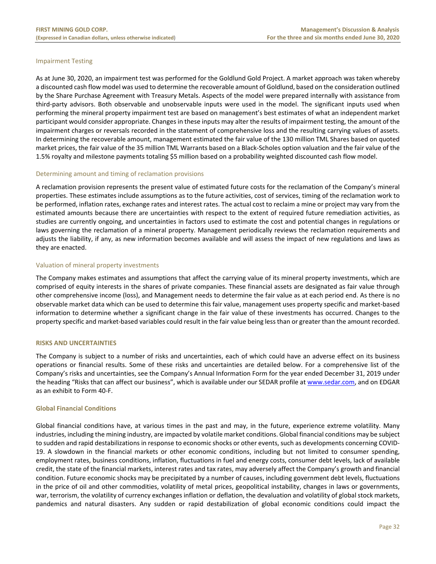# Impairment Testing

As at June 30, 2020, an impairment test was performed for the Goldlund Gold Project. A market approach was taken whereby a discounted cash flow model was used to determine the recoverable amount of Goldlund, based on the consideration outlined by the Share Purchase Agreement with Treasury Metals. Aspects of the model were prepared internally with assistance from third-party advisors. Both observable and unobservable inputs were used in the model. The significant inputs used when performing the mineral property impairment test are based on management's best estimates of what an independent market participant would consider appropriate. Changes in these inputs may alter the results of impairment testing, the amount of the impairment charges or reversals recorded in the statement of comprehensive loss and the resulting carrying values of assets. In determining the recoverable amount, management estimated the fair value of the 130 million TML Shares based on quoted market prices, the fair value of the 35 million TML Warrants based on a Black‐Scholes option valuation and the fair value of the 1.5% royalty and milestone payments totaling \$5 million based on a probability weighted discounted cash flow model.

#### Determining amount and timing of reclamation provisions

A reclamation provision represents the present value of estimated future costs for the reclamation of the Company's mineral properties. These estimates include assumptions as to the future activities, cost of services, timing of the reclamation work to be performed, inflation rates, exchange rates and interest rates. The actual cost to reclaim a mine or project may vary from the estimated amounts because there are uncertainties with respect to the extent of required future remediation activities, as studies are currently ongoing, and uncertainties in factors used to estimate the cost and potential changes in regulations or laws governing the reclamation of a mineral property. Management periodically reviews the reclamation requirements and adjusts the liability, if any, as new information becomes available and will assess the impact of new regulations and laws as they are enacted.

# Valuation of mineral property investments

The Company makes estimates and assumptions that affect the carrying value of its mineral property investments, which are comprised of equity interests in the shares of private companies. These financial assets are designated as fair value through other comprehensive income (loss), and Management needs to determine the fair value as at each period end. As there is no observable market data which can be used to determine this fair value, management uses property specific and market‐based information to determine whether a significant change in the fair value of these investments has occurred. Changes to the property specific and market‐based variables could result in the fair value being less than or greater than the amount recorded.

# **RISKS AND UNCERTAINTIES**

The Company is subject to a number of risks and uncertainties, each of which could have an adverse effect on its business operations or financial results. Some of these risks and uncertainties are detailed below. For a comprehensive list of the Company's risks and uncertainties, see the Company's Annual Information Form for the year ended December 31, 2019 under the heading "Risks that can affect our business", which is available under our SEDAR profile at www.sedar.com, and on EDGAR as an exhibit to Form 40‐F.

#### **Global Financial Conditions**

Global financial conditions have, at various times in the past and may, in the future, experience extreme volatility. Many industries, including the mining industry, are impacted by volatile market conditions. Global financial conditions may be subject to sudden and rapid destabilizations in response to economic shocks or other events, such as developments concerning COVID‐ 19. A slowdown in the financial markets or other economic conditions, including but not limited to consumer spending, employment rates, business conditions, inflation, fluctuations in fuel and energy costs, consumer debt levels, lack of available credit, the state of the financial markets, interest rates and tax rates, may adversely affect the Company's growth and financial condition. Future economic shocks may be precipitated by a number of causes, including government debt levels, fluctuations in the price of oil and other commodities, volatility of metal prices, geopolitical instability, changes in laws or governments, war, terrorism, the volatility of currency exchanges inflation or deflation, the devaluation and volatility of global stock markets, pandemics and natural disasters. Any sudden or rapid destabilization of global economic conditions could impact the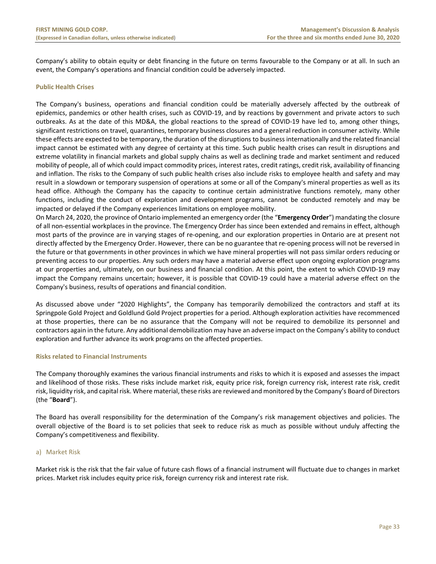Company's ability to obtain equity or debt financing in the future on terms favourable to the Company or at all. In such an event, the Company's operations and financial condition could be adversely impacted.

#### **Public Health Crises**

The Company's business, operations and financial condition could be materially adversely affected by the outbreak of epidemics, pandemics or other health crises, such as COVID‐19, and by reactions by government and private actors to such outbreaks. As at the date of this MD&A, the global reactions to the spread of COVID‐19 have led to, among other things, significant restrictions on travel, quarantines, temporary business closures and a general reduction in consumer activity. While these effects are expected to be temporary, the duration of the disruptions to business internationally and the related financial impact cannot be estimated with any degree of certainty at this time. Such public health crises can result in disruptions and extreme volatility in financial markets and global supply chains as well as declining trade and market sentiment and reduced mobility of people, all of which could impact commodity prices, interest rates, credit ratings, credit risk, availability of financing and inflation. The risks to the Company of such public health crises also include risks to employee health and safety and may result in a slowdown or temporary suspension of operations at some or all of the Company's mineral properties as well as its head office. Although the Company has the capacity to continue certain administrative functions remotely, many other functions, including the conduct of exploration and development programs, cannot be conducted remotely and may be impacted or delayed if the Company experiences limitations on employee mobility.

On March 24, 2020, the province of Ontario implemented an emergency order (the "**Emergency Order**") mandating the closure of all non‐essential workplaces in the province. The Emergency Order has since been extended and remains in effect, although most parts of the province are in varying stages of re‐opening, and our exploration properties in Ontario are at present not directly affected by the Emergency Order. However, there can be no guarantee that re‐opening process will not be reversed in the future or that governments in other provinces in which we have mineral properties will not pass similar orders reducing or preventing access to our properties. Any such orders may have a material adverse effect upon ongoing exploration programs at our properties and, ultimately, on our business and financial condition. At this point, the extent to which COVID‐19 may impact the Company remains uncertain; however, it is possible that COVID-19 could have a material adverse effect on the Company's business, results of operations and financial condition.

As discussed above under "2020 Highlights", the Company has temporarily demobilized the contractors and staff at its Springpole Gold Project and Goldlund Gold Project properties for a period. Although exploration activities have recommenced at those properties, there can be no assurance that the Company will not be required to demobilize its personnel and contractors again in the future. Any additional demobilization may have an adverse impact on the Company's ability to conduct exploration and further advance its work programs on the affected properties.

#### **Risks related to Financial Instruments**

The Company thoroughly examines the various financial instruments and risks to which it is exposed and assesses the impact and likelihood of those risks. These risks include market risk, equity price risk, foreign currency risk, interest rate risk, credit risk, liquidity risk, and capital risk. Where material, these risks are reviewed and monitored by the Company's Board of Directors (the "**Board**").

The Board has overall responsibility for the determination of the Company's risk management objectives and policies. The overall objective of the Board is to set policies that seek to reduce risk as much as possible without unduly affecting the Company's competitiveness and flexibility.

#### a) Market Risk

Market risk is the risk that the fair value of future cash flows of a financial instrument will fluctuate due to changes in market prices. Market risk includes equity price risk, foreign currency risk and interest rate risk.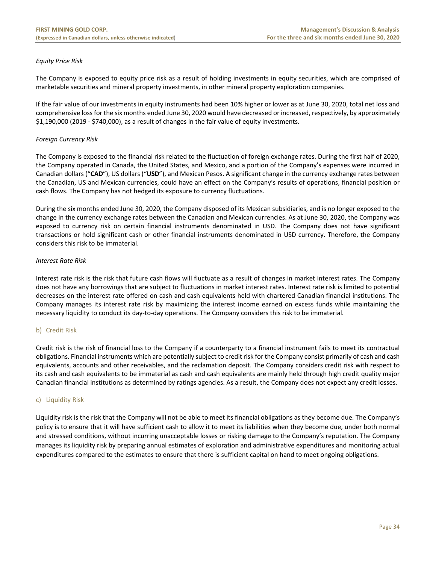# *Equity Price Risk*

The Company is exposed to equity price risk as a result of holding investments in equity securities, which are comprised of marketable securities and mineral property investments, in other mineral property exploration companies.

If the fair value of our investments in equity instruments had been 10% higher or lower as at June 30, 2020, total net loss and comprehensive loss for the six months ended June 30, 2020 would have decreased or increased, respectively, by approximately \$1,190,000 (2019 ‐ \$740,000), as a result of changes in the fair value of equity investments.

## *Foreign Currency Risk*

The Company is exposed to the financial risk related to the fluctuation of foreign exchange rates. During the first half of 2020, the Company operated in Canada, the United States, and Mexico, and a portion of the Company's expenses were incurred in Canadian dollars ("**CAD**"), US dollars ("**USD**"), and Mexican Pesos. A significant change in the currency exchange rates between the Canadian, US and Mexican currencies, could have an effect on the Company's results of operations, financial position or cash flows. The Company has not hedged its exposure to currency fluctuations.

During the six months ended June 30, 2020, the Company disposed of its Mexican subsidiaries, and is no longer exposed to the change in the currency exchange rates between the Canadian and Mexican currencies. As at June 30, 2020, the Company was exposed to currency risk on certain financial instruments denominated in USD. The Company does not have significant transactions or hold significant cash or other financial instruments denominated in USD currency. Therefore, the Company considers this risk to be immaterial.

# *Interest Rate Risk*

Interest rate risk is the risk that future cash flows will fluctuate as a result of changes in market interest rates. The Company does not have any borrowings that are subject to fluctuations in market interest rates. Interest rate risk is limited to potential decreases on the interest rate offered on cash and cash equivalents held with chartered Canadian financial institutions. The Company manages its interest rate risk by maximizing the interest income earned on excess funds while maintaining the necessary liquidity to conduct its day‐to‐day operations. The Company considers this risk to be immaterial.

#### b) Credit Risk

Credit risk is the risk of financial loss to the Company if a counterparty to a financial instrument fails to meet its contractual obligations. Financial instruments which are potentially subject to credit risk for the Company consist primarily of cash and cash equivalents, accounts and other receivables, and the reclamation deposit. The Company considers credit risk with respect to its cash and cash equivalents to be immaterial as cash and cash equivalents are mainly held through high credit quality major Canadian financial institutions as determined by ratings agencies. As a result, the Company does not expect any credit losses.

#### c) Liquidity Risk

Liquidity risk is the risk that the Company will not be able to meet its financial obligations as they become due. The Company's policy is to ensure that it will have sufficient cash to allow it to meet its liabilities when they become due, under both normal and stressed conditions, without incurring unacceptable losses or risking damage to the Company's reputation. The Company manages its liquidity risk by preparing annual estimates of exploration and administrative expenditures and monitoring actual expenditures compared to the estimates to ensure that there is sufficient capital on hand to meet ongoing obligations.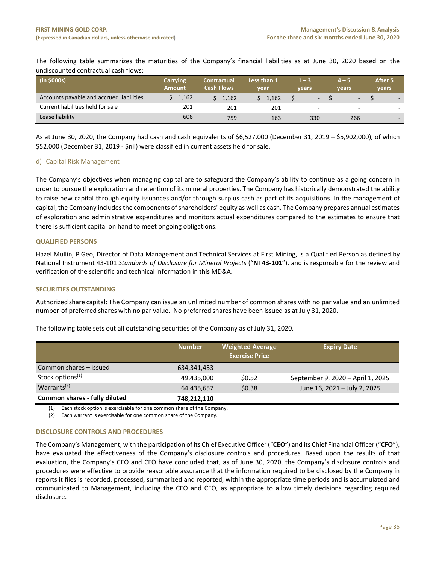The following table summarizes the maturities of the Company's financial liabilities as at June 30, 2020 based on the undiscounted contractual cash flows:

| (in \$000s)                              | <b>Carrying</b><br><b>Amount</b> | <b>Contractual</b><br><b>Cash Flows</b> | Less than 1<br>vear | l — S<br>vears           | $14-5$<br>vears          | After 5<br>vears |
|------------------------------------------|----------------------------------|-----------------------------------------|---------------------|--------------------------|--------------------------|------------------|
| Accounts payable and accrued liabilities | 1.162                            | 1.162                                   | 1.162               | ٠                        | $\overline{\phantom{a}}$ |                  |
| Current liabilities held for sale        | 201                              | 201                                     | 201                 | $\overline{\phantom{a}}$ | $\overline{\phantom{a}}$ |                  |
| Lease liability                          | 606                              | 759                                     | 163                 | 330                      | 266                      |                  |

As at June 30, 2020, the Company had cash and cash equivalents of \$6,527,000 (December 31, 2019 – \$5,902,000), of which \$52,000 (December 31, 2019 ‐ \$nil) were classified in current assets held for sale.

# d) Capital Risk Management

The Company's objectives when managing capital are to safeguard the Company's ability to continue as a going concern in order to pursue the exploration and retention of its mineral properties. The Company has historically demonstrated the ability to raise new capital through equity issuances and/or through surplus cash as part of its acquisitions. In the management of capital, the Company includes the components of shareholders' equity as well as cash. The Company prepares annual estimates of exploration and administrative expenditures and monitors actual expenditures compared to the estimates to ensure that there is sufficient capital on hand to meet ongoing obligations.

# **QUALIFIED PERSONS**

Hazel Mullin, P.Geo, Director of Data Management and Technical Services at First Mining, is a Qualified Person as defined by National Instrument 43‐101 *Standards of Disclosure for Mineral Projects* ("**NI 43‐101**"), and is responsible for the review and verification of the scientific and technical information in this MD&A.

# **SECURITIES OUTSTANDING**

Authorized share capital: The Company can issue an unlimited number of common shares with no par value and an unlimited number of preferred shares with no par value. No preferred shares have been issued as at July 31, 2020.

The following table sets out all outstanding securities of the Company as of July 31, 2020.

|                               | <b>Number</b> | <b>Weighted Average</b><br><b>Exercise Price</b> | <b>Expiry Date</b>                |
|-------------------------------|---------------|--------------------------------------------------|-----------------------------------|
| Common shares – issued        | 634,341,453   |                                                  |                                   |
| Stock options <sup>(1)</sup>  | 49.435.000    | \$0.52                                           | September 9, 2020 - April 1, 2025 |
| Warrants <sup>(2)</sup>       | 64,435,657    | \$0.38                                           | June 16, 2021 - July 2, 2025      |
| Common shares - fully diluted | 748,212,110   |                                                  |                                   |

(1) Each stock option is exercisable for one common share of the Company.

(2) Each warrant is exercisable for one common share of the Company.

#### **DISCLOSURE CONTROLS AND PROCEDURES**

The Company's Management, with the participation of its Chief Executive Officer ("**CEO**") and its Chief Financial Officer ("**CFO**"), have evaluated the effectiveness of the Company's disclosure controls and procedures. Based upon the results of that evaluation, the Company's CEO and CFO have concluded that, as of June 30, 2020, the Company's disclosure controls and procedures were effective to provide reasonable assurance that the information required to be disclosed by the Company in reports it files is recorded, processed, summarized and reported, within the appropriate time periods and is accumulated and communicated to Management, including the CEO and CFO, as appropriate to allow timely decisions regarding required disclosure.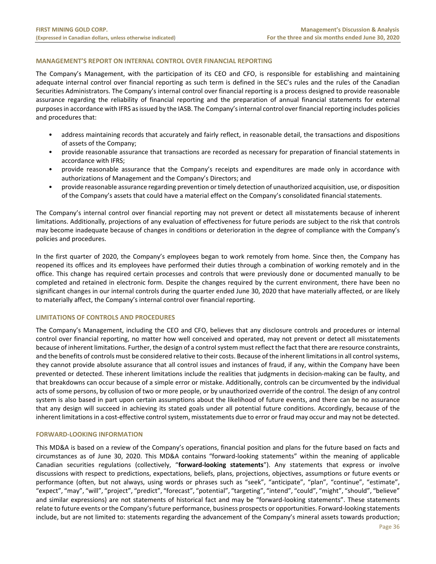# **MANAGEMENT'S REPORT ON INTERNAL CONTROL OVER FINANCIAL REPORTING**

The Company's Management, with the participation of its CEO and CFO, is responsible for establishing and maintaining adequate internal control over financial reporting as such term is defined in the SEC's rules and the rules of the Canadian Securities Administrators. The Company's internal control over financial reporting is a process designed to provide reasonable assurance regarding the reliability of financial reporting and the preparation of annual financial statements for external purposes in accordance with IFRS as issued by the IASB. The Company's internal control over financial reporting includes policies and procedures that:

- address maintaining records that accurately and fairly reflect, in reasonable detail, the transactions and dispositions of assets of the Company;
- provide reasonable assurance that transactions are recorded as necessary for preparation of financial statements in accordance with IFRS;
- provide reasonable assurance that the Company's receipts and expenditures are made only in accordance with authorizations of Management and the Company's Directors; and
- provide reasonable assurance regarding prevention or timely detection of unauthorized acquisition, use, or disposition of the Company's assets that could have a material effect on the Company's consolidated financial statements.

The Company's internal control over financial reporting may not prevent or detect all misstatements because of inherent limitations. Additionally, projections of any evaluation of effectiveness for future periods are subject to the risk that controls may become inadequate because of changes in conditions or deterioration in the degree of compliance with the Company's policies and procedures.

In the first quarter of 2020, the Company's employees began to work remotely from home. Since then, the Company has reopened its offices and its employees have performed their duties through a combination of working remotely and in the office. This change has required certain processes and controls that were previously done or documented manually to be completed and retained in electronic form. Despite the changes required by the current environment, there have been no significant changes in our internal controls during the quarter ended June 30, 2020 that have materially affected, or are likely to materially affect, the Company's internal control over financial reporting.

#### **LIMITATIONS OF CONTROLS AND PROCEDURES**

The Company's Management, including the CEO and CFO, believes that any disclosure controls and procedures or internal control over financial reporting, no matter how well conceived and operated, may not prevent or detect all misstatements because of inherent limitations. Further, the design of a control system must reflect the fact that there are resource constraints, and the benefits of controls must be considered relative to their costs. Because of the inherent limitations in all control systems, they cannot provide absolute assurance that all control issues and instances of fraud, if any, within the Company have been prevented or detected. These inherent limitations include the realities that judgments in decision‐making can be faulty, and that breakdowns can occur because of a simple error or mistake. Additionally, controls can be circumvented by the individual acts of some persons, by collusion of two or more people, or by unauthorized override of the control. The design of any control system is also based in part upon certain assumptions about the likelihood of future events, and there can be no assurance that any design will succeed in achieving its stated goals under all potential future conditions. Accordingly, because of the inherent limitations in a cost-effective control system, misstatements due to error or fraud may occur and may not be detected.

#### **FORWARD‐LOOKING INFORMATION**

This MD&A is based on a review of the Company's operations, financial position and plans for the future based on facts and circumstances as of June 30, 2020. This MD&A contains "forward‐looking statements" within the meaning of applicable Canadian securities regulations (collectively, "**forward‐looking statements**"). Any statements that express or involve discussions with respect to predictions, expectations, beliefs, plans, projections, objectives, assumptions or future events or performance (often, but not always, using words or phrases such as "seek", "anticipate", "plan", "continue", "estimate", "expect", "may", "will", "project", "predict", "forecast", "potential", "targeting", "intend", "could", "might", "should", "believe" and similar expressions) are not statements of historical fact and may be "forward-looking statements". These statements relate to future events or the Company's future performance, business prospects or opportunities. Forward-looking statements include, but are not limited to: statements regarding the advancement of the Company's mineral assets towards production;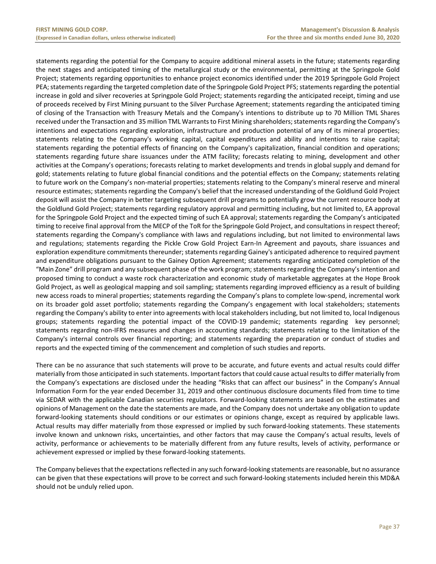statements regarding the potential for the Company to acquire additional mineral assets in the future; statements regarding the next stages and anticipated timing of the metallurgical study or the environmental, permitting at the Springpole Gold Project; statements regarding opportunities to enhance project economics identified under the 2019 Springpole Gold Project PEA; statements regarding the targeted completion date of the Springpole Gold Project PFS; statements regarding the potential increase in gold and silver recoveries at Springpole Gold Project; statements regarding the anticipated receipt, timing and use of proceeds received by First Mining pursuant to the Silver Purchase Agreement; statements regarding the anticipated timing of closing of the Transaction with Treasury Metals and the Company's intentions to distribute up to 70 Million TML Shares received under the Transaction and 35 million TML Warrants to First Mining shareholders; statements regarding the Company's intentions and expectations regarding exploration, infrastructure and production potential of any of its mineral properties; statements relating to the Company's working capital, capital expenditures and ability and intentions to raise capital; statements regarding the potential effects of financing on the Company's capitalization, financial condition and operations; statements regarding future share issuances under the ATM facility; forecasts relating to mining, development and other activities at the Company's operations; forecasts relating to market developments and trends in global supply and demand for gold; statements relating to future global financial conditions and the potential effects on the Company; statements relating to future work on the Company's non-material properties; statements relating to the Company's mineral reserve and mineral resource estimates; statements regarding the Company's belief that the increased understanding of the Goldlund Gold Project deposit will assist the Company in better targeting subsequent drill programs to potentially grow the current resource body at the Goldlund Gold Project; statements regarding regulatory approval and permitting including, but not limited to, EA approval for the Springpole Gold Project and the expected timing of such EA approval; statements regarding the Company's anticipated timing to receive final approval from the MECP of the ToR for the Springpole Gold Project, and consultations in respect thereof; statements regarding the Company's compliance with laws and regulations including, but not limited to environmental laws and regulations; statements regarding the Pickle Crow Gold Project Earn-In Agreement and payouts, share issuances and exploration expenditure commitments thereunder; statements regarding Gainey's anticipated adherence to required payment and expenditure obligations pursuant to the Gainey Option Agreement; statements regarding anticipated completion of the "Main Zone" drill program and any subsequent phase of the work program; statements regarding the Company's intention and proposed timing to conduct a waste rock characterization and economic study of marketable aggregates at the Hope Brook Gold Project, as well as geological mapping and soil sampling; statements regarding improved efficiency as a result of building new access roads to mineral properties; statements regarding the Company's plans to complete low‐spend, incremental work on its broader gold asset portfolio; statements regarding the Company's engagement with local stakeholders; statements regarding the Company's ability to enter into agreements with local stakeholders including, but not limited to, local Indigenous groups; statements regarding the potential impact of the COVID-19 pandemic; statements regarding key personnel; statements regarding non-IFRS measures and changes in accounting standards; statements relating to the limitation of the Company's internal controls over financial reporting; and statements regarding the preparation or conduct of studies and reports and the expected timing of the commencement and completion of such studies and reports.

There can be no assurance that such statements will prove to be accurate, and future events and actual results could differ materially from those anticipated in such statements. Important factors that could cause actual results to differ materially from the Company's expectations are disclosed under the heading "Risks that can affect our business" in the Company's Annual Information Form for the year ended December 31, 2019 and other continuous disclosure documents filed from time to time via SEDAR with the applicable Canadian securities regulators. Forward-looking statements are based on the estimates and opinions of Management on the date the statements are made, and the Company does not undertake any obligation to update forward-looking statements should conditions or our estimates or opinions change, except as required by applicable laws. Actual results may differ materially from those expressed or implied by such forward‐looking statements. These statements involve known and unknown risks, uncertainties, and other factors that may cause the Company's actual results, levels of activity, performance or achievements to be materially different from any future results, levels of activity, performance or achievement expressed or implied by these forward‐looking statements.

The Company believes that the expectations reflected in any such forward‐looking statements are reasonable, but no assurance can be given that these expectations will prove to be correct and such forward‐looking statements included herein this MD&A should not be unduly relied upon.